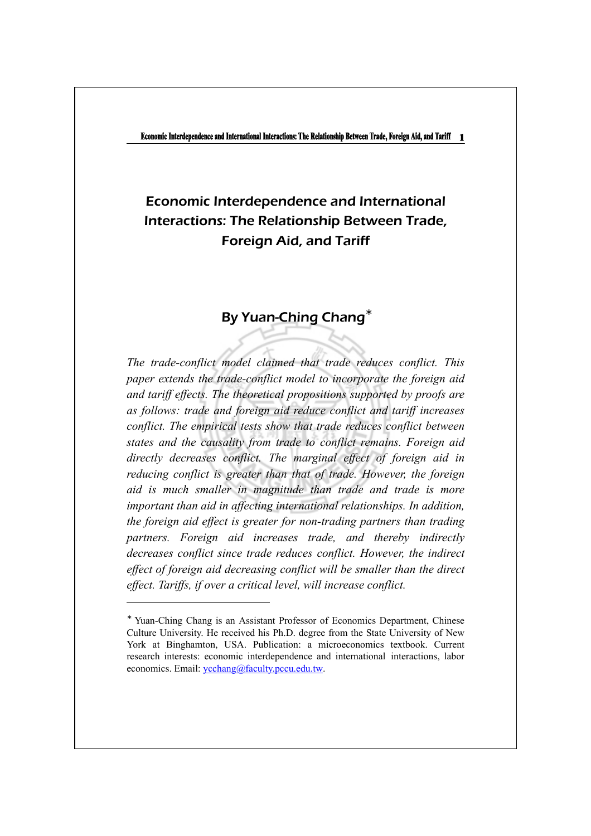# Economic Interdependence and International Interactions: The Relationship Between Trade, Foreign Aid, and Tariff

## By Yuan-Ching Chang<sup>∗</sup>

*The trade-conflict model claimed that trade reduces conflict. This paper extends the trade-conflict model to incorporate the foreign aid and tariff effects. The theoretical propositions supported by proofs are as follows: trade and foreign aid reduce conflict and tariff increases conflict. The empirical tests show that trade reduces conflict between states and the causality from trade to conflict remains. Foreign aid directly decreases conflict. The marginal effect of foreign aid in reducing conflict is greater than that of trade. However, the foreign aid is much smaller in magnitude than trade and trade is more important than aid in affecting international relationships. In addition, the foreign aid effect is greater for non-trading partners than trading partners. Foreign aid increases trade, and thereby indirectly decreases conflict since trade reduces conflict. However, the indirect effect of foreign aid decreasing conflict will be smaller than the direct effect. Tariffs, if over a critical level, will increase conflict.* 

<sup>∗</sup> Yuan-Ching Chang is an Assistant Professor of Economics Department, Chinese Culture University. He received his Ph.D. degree from the State University of New York at Binghamton, USA. Publication: a microeconomics textbook. Current research interests: economic interdependence and international interactions, labor economics. Email: ycchang@faculty.pccu.edu.tw.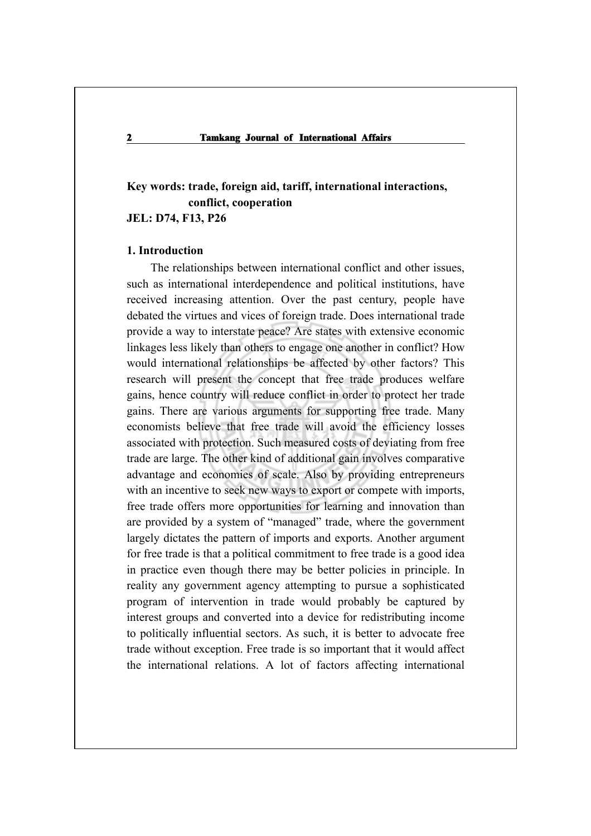## **Key words: trade, foreign aid, tariff, international interactions, conflict, cooperation JEL: D74, F13, P26**

#### **1. Introduction**

The relationships between international conflict and other issues, such as international interdependence and political institutions, have received increasing attention. Over the past century, people have debated the virtues and vices of foreign trade. Does international trade provide a way to interstate peace? Are states with extensive economic linkages less likely than others to engage one another in conflict? How would international relationships be affected by other factors? This research will present the concept that free trade produces welfare gains, hence country will reduce conflict in order to protect her trade gains. There are various arguments for supporting free trade. Many economists believe that free trade will avoid the efficiency losses associated with protection. Such measured costs of deviating from free trade are large. The other kind of additional gain involves comparative advantage and economies of scale. Also by providing entrepreneurs with an incentive to seek new ways to export or compete with imports, free trade offers more opportunities for learning and innovation than are provided by a system of "managed" trade, where the government largely dictates the pattern of imports and exports. Another argument for free trade is that a political commitment to free trade is a good idea in practice even though there may be better policies in principle. In reality any government agency attempting to pursue a sophisticated program of intervention in trade would probably be captured by interest groups and converted into a device for redistributing income to politically influential sectors. As such, it is better to advocate free trade without exception. Free trade is so important that it would affect the international relations. A lot of factors affecting international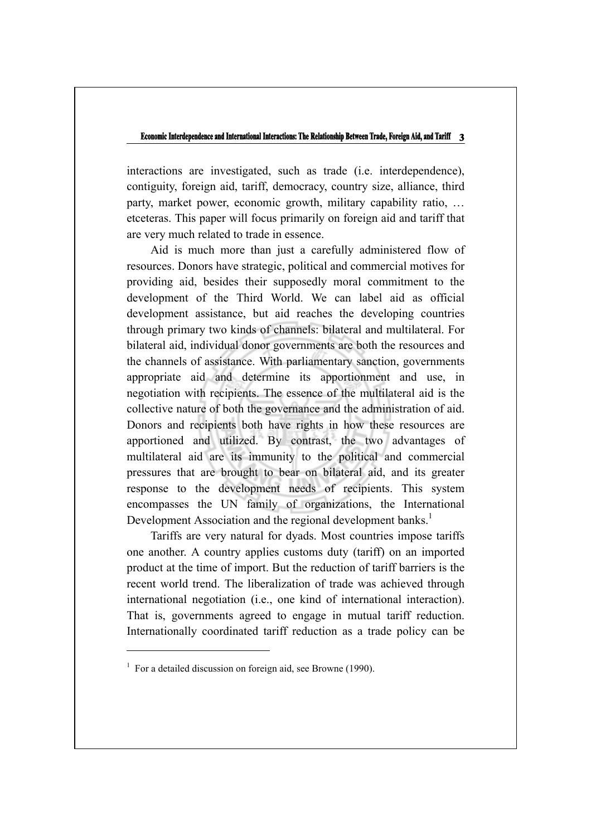interactions are investigated, such as trade (i.e. interdependence), contiguity, foreign aid, tariff, democracy, country size, alliance, third party, market power, economic growth, military capability ratio, … etceteras. This paper will focus primarily on foreign aid and tariff that are very much related to trade in essence.

Aid is much more than just a carefully administered flow of resources. Donors have strategic, political and commercial motives for providing aid, besides their supposedly moral commitment to the development of the Third World. We can label aid as official development assistance, but aid reaches the developing countries through primary two kinds of channels: bilateral and multilateral. For bilateral aid, individual donor governments are both the resources and the channels of assistance. With parliamentary sanction, governments appropriate aid and determine its apportionment and use, in negotiation with recipients. The essence of the multilateral aid is the collective nature of both the governance and the administration of aid. Donors and recipients both have rights in how these resources are apportioned and utilized. By contrast, the two advantages of multilateral aid are its immunity to the political and commercial pressures that are brought to bear on bilateral aid, and its greater response to the development needs of recipients. This system encompasses the UN family of organizations, the International Development Association and the regional development banks.<sup>1</sup>

Tariffs are very natural for dyads. Most countries impose tariffs one another. A country applies customs duty (tariff) on an imported product at the time of import. But the reduction of tariff barriers is the recent world trend. The liberalization of trade was achieved through international negotiation (i.e., one kind of international interaction). That is, governments agreed to engage in mutual tariff reduction. Internationally coordinated tariff reduction as a trade policy can be

<sup>&</sup>lt;sup>1</sup> For a detailed discussion on foreign aid, see Browne (1990).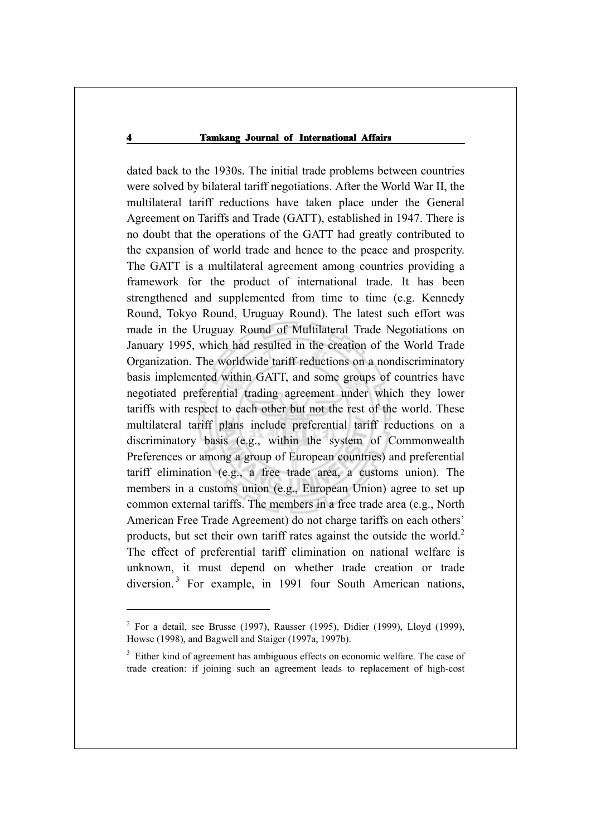dated back to the 1930s. The initial trade problems between countries were solved by bilateral tariff negotiations. After the World War II, the multilateral tariff reductions have taken place under the General Agreement on Tariffs and Trade (GATT), established in 1947. There is no doubt that the operations of the GATT had greatly contributed to the expansion of world trade and hence to the peace and prosperity. The GATT is a multilateral agreement among countries providing a framework for the product of international trade. It has been strengthened and supplemented from time to time (e.g. Kennedy Round, Tokyo Round, Uruguay Round). The latest such effort was made in the Uruguay Round of Multilateral Trade Negotiations on January 1995, which had resulted in the creation of the World Trade Organization. The worldwide tariff reductions on a nondiscriminatory basis implemented within GATT, and some groups of countries have negotiated preferential trading agreement under which they lower tariffs with respect to each other but not the rest of the world. These multilateral tariff plans include preferential tariff reductions on a discriminatory basis (e.g., within the system of Commonwealth Preferences or among a group of European countries) and preferential tariff elimination (e.g., a free trade area, a customs union). The members in a customs union (e.g., European Union) agree to set up common external tariffs. The members in a free trade area (e.g., North American Free Trade Agreement) do not charge tariffs on each others' products, but set their own tariff rates against the outside the world.<sup>2</sup> The effect of preferential tariff elimination on national welfare is unknown, it must depend on whether trade creation or trade diversion.<sup>3</sup> For example, in 1991 four South American nations,

<sup>&</sup>lt;sup>2</sup> For a detail, see Brusse (1997), Rausser (1995), Didier (1999), Lloyd (1999), Howse (1998), and Bagwell and Staiger (1997a, 1997b).

<sup>&</sup>lt;sup>3</sup> Either kind of agreement has ambiguous effects on economic welfare. The case of trade creation: if joining such an agreement leads to replacement of high-cost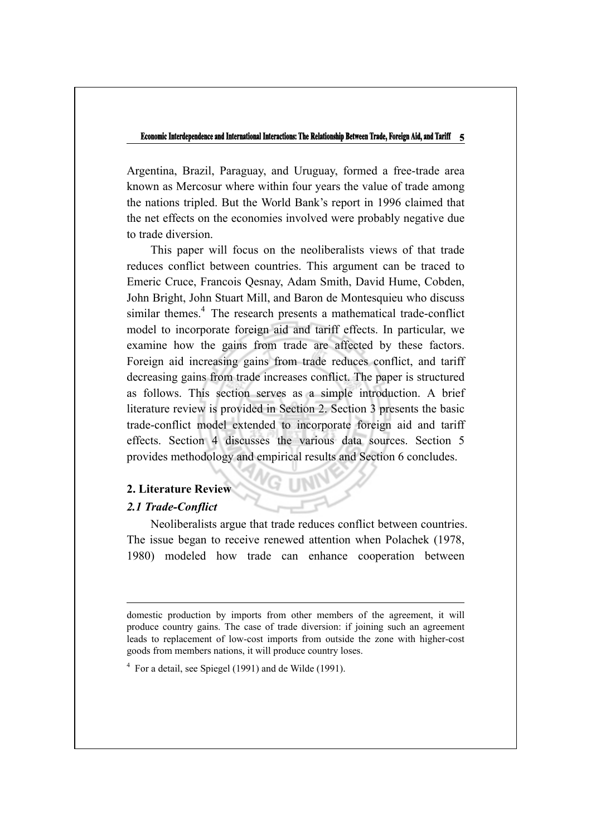Argentina, Brazil, Paraguay, and Uruguay, formed a free-trade area known as Mercosur where within four years the value of trade among the nations tripled. But the World Bank's report in 1996 claimed that the net effects on the economies involved were probably negative due to trade diversion.

This paper will focus on the neoliberalists views of that trade reduces conflict between countries. This argument can be traced to Emeric Cruce, Francois Qesnay, Adam Smith, David Hume, Cobden, John Bright, John Stuart Mill, and Baron de Montesquieu who discuss similar themes.<sup>4</sup> The research presents a mathematical trade-conflict model to incorporate foreign aid and tariff effects. In particular, we examine how the gains from trade are affected by these factors. Foreign aid increasing gains from trade reduces conflict, and tariff decreasing gains from trade increases conflict. The paper is structured as follows. This section serves as a simple introduction. A brief literature review is provided in Section 2. Section 3 presents the basic trade-conflict model extended to incorporate foreign aid and tariff effects. Section 4 discusses the various data sources. Section 5 provides methodology and empirical results and Section 6 concludes.

## **2. Literature Review**

## *2.1 Trade-Conflict*

Neoliberalists argue that trade reduces conflict between countries. The issue began to receive renewed attention when Polachek (1978, 1980) modeled how trade can enhance cooperation between

domestic production by imports from other members of the agreement, it will produce country gains. The case of trade diversion: if joining such an agreement leads to replacement of low-cost imports from outside the zone with higher-cost goods from members nations, it will produce country loses.

 $4$  For a detail, see Spiegel (1991) and de Wilde (1991).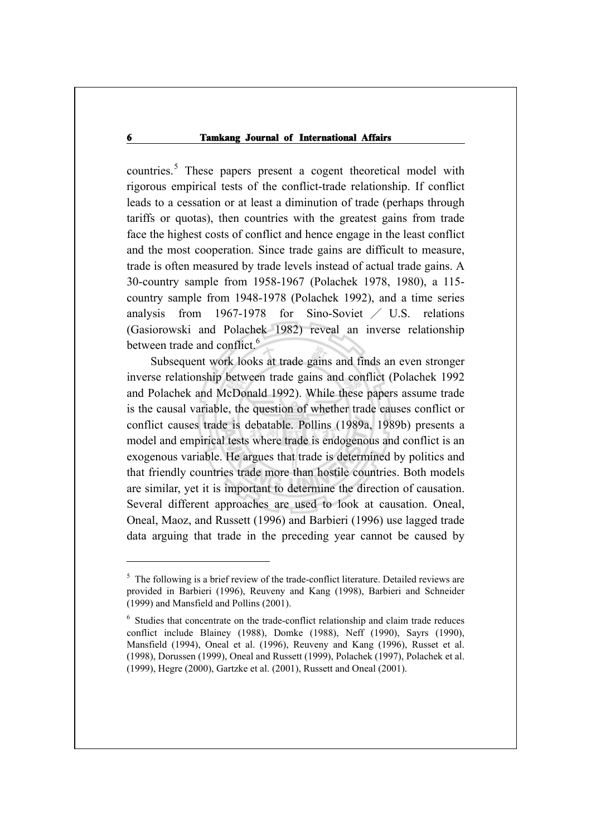countries.<sup>5</sup> These papers present a cogent theoretical model with rigorous empirical tests of the conflict-trade relationship. If conflict leads to a cessation or at least a diminution of trade (perhaps through tariffs or quotas), then countries with the greatest gains from trade face the highest costs of conflict and hence engage in the least conflict and the most cooperation. Since trade gains are difficult to measure, trade is often measured by trade levels instead of actual trade gains. A 30-country sample from 1958-1967 (Polachek 1978, 1980), a 115 country sample from 1948-1978 (Polachek 1992), and a time series analysis from  $1967-1978$  for Sino-Soviet  $\angle$  U.S. relations (Gasiorowski and Polachek 1982) reveal an inverse relationship between trade and conflict.<sup>6</sup>

Subsequent work looks at trade gains and finds an even stronger inverse relationship between trade gains and conflict (Polachek 1992 and Polachek and McDonald 1992). While these papers assume trade is the causal variable, the question of whether trade causes conflict or conflict causes trade is debatable. Pollins (1989a, 1989b) presents a model and empirical tests where trade is endogenous and conflict is an exogenous variable. He argues that trade is determined by politics and that friendly countries trade more than hostile countries. Both models are similar, yet it is important to determine the direction of causation. Several different approaches are used to look at causation. Oneal, Oneal, Maoz, and Russett (1996) and Barbieri (1996) use lagged trade data arguing that trade in the preceding year cannot be caused by

<sup>&</sup>lt;sup>5</sup> The following is a brief review of the trade-conflict literature. Detailed reviews are provided in Barbieri (1996), Reuveny and Kang (1998), Barbieri and Schneider (1999) and Mansfield and Pollins (2001).

<sup>&</sup>lt;sup>6</sup> Studies that concentrate on the trade-conflict relationship and claim trade reduces conflict include Blainey (1988), Domke (1988), Neff (1990), Sayrs (1990), Mansfield (1994), Oneal et al. (1996), Reuveny and Kang (1996), Russet et al. (1998), Dorussen (1999), Oneal and Russett (1999), Polachek (1997), Polachek et al. (1999), Hegre (2000), Gartzke et al. (2001), Russett and Oneal (2001).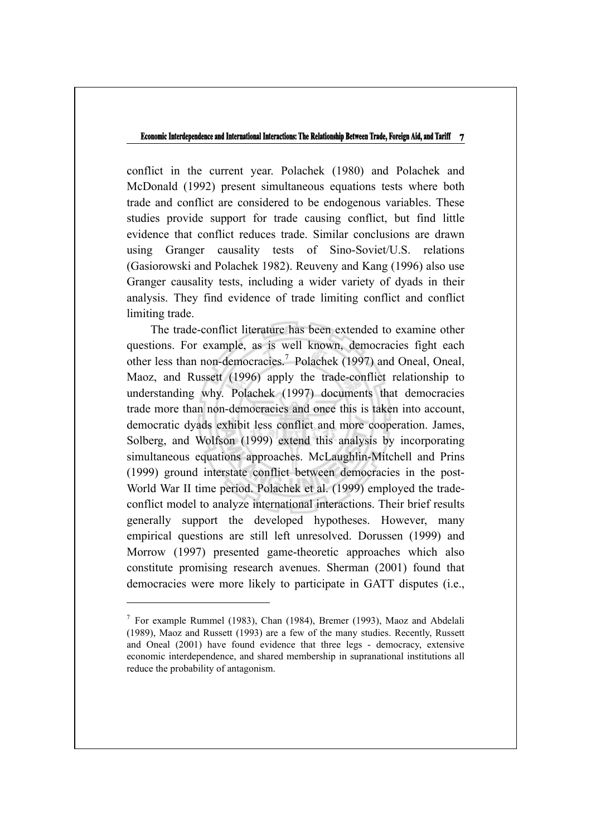conflict in the current year. Polachek (1980) and Polachek and McDonald (1992) present simultaneous equations tests where both trade and conflict are considered to be endogenous variables. These studies provide support for trade causing conflict, but find little evidence that conflict reduces trade. Similar conclusions are drawn using Granger causality tests of Sino-Soviet/U.S. relations (Gasiorowski and Polachek 1982). Reuveny and Kang (1996) also use Granger causality tests, including a wider variety of dyads in their analysis. They find evidence of trade limiting conflict and conflict limiting trade.

The trade-conflict literature has been extended to examine other questions. For example, as is well known, democracies fight each other less than non-democracies.<sup>7</sup> Polachek (1997) and Oneal, Oneal, Maoz, and Russett (1996) apply the trade-conflict relationship to understanding why. Polachek (1997) documents that democracies trade more than non-democracies and once this is taken into account, democratic dyads exhibit less conflict and more cooperation. James, Solberg, and Wolfson (1999) extend this analysis by incorporating simultaneous equations approaches. McLaughlin-Mitchell and Prins (1999) ground interstate conflict between democracies in the post-World War II time period. Polachek et al. (1999) employed the tradeconflict model to analyze international interactions. Their brief results generally support the developed hypotheses. However, many empirical questions are still left unresolved. Dorussen (1999) and Morrow (1997) presented game-theoretic approaches which also constitute promising research avenues. Sherman (2001) found that democracies were more likely to participate in GATT disputes (i.e.,

<sup>&</sup>lt;sup>7</sup> For example Rummel (1983), Chan (1984), Bremer (1993), Maoz and Abdelali (1989), Maoz and Russett (1993) are a few of the many studies. Recently, Russett and Oneal (2001) have found evidence that three legs - democracy, extensive economic interdependence, and shared membership in supranational institutions all reduce the probability of antagonism.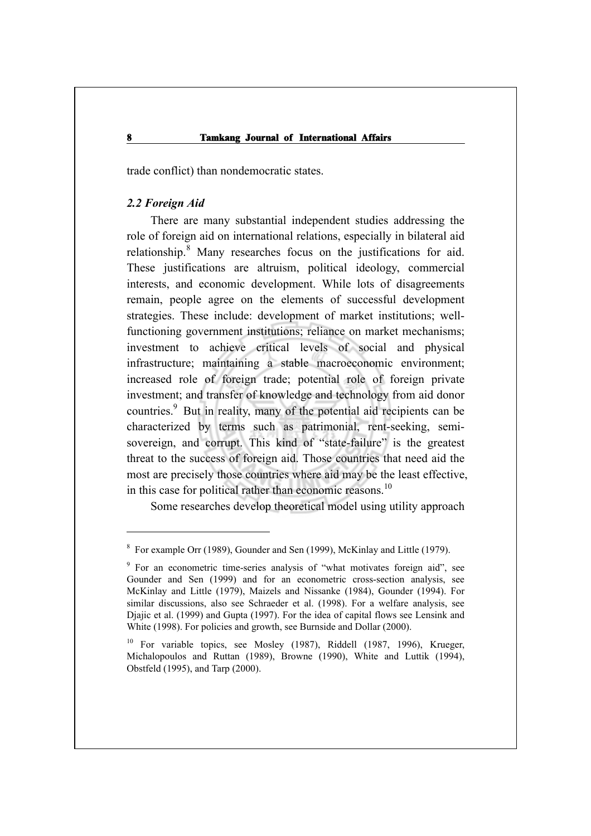trade conflict) than nondemocratic states.

## *2.2 Foreign Aid*

There are many substantial independent studies addressing the role of foreign aid on international relations, especially in bilateral aid relationship.<sup>8</sup> Many researches focus on the justifications for aid. These justifications are altruism, political ideology, commercial interests, and economic development. While lots of disagreements remain, people agree on the elements of successful development strategies. These include: development of market institutions; wellfunctioning government institutions; reliance on market mechanisms; investment to achieve critical levels of social and physical infrastructure; maintaining a stable macroeconomic environment; increased role of foreign trade; potential role of foreign private investment; and transfer of knowledge and technology from aid donor countries.<sup>9</sup> But in reality, many of the potential aid recipients can be characterized by terms such as patrimonial, rent-seeking, semisovereign, and corrupt. This kind of "state-failure" is the greatest threat to the success of foreign aid. Those countries that need aid the most are precisely those countries where aid may be the least effective, in this case for political rather than economic reasons.<sup>10</sup>

Some researches develop theoretical model using utility approach

<sup>&</sup>lt;sup>8</sup> For example Orr (1989), Gounder and Sen (1999), McKinlay and Little (1979).

<sup>&</sup>lt;sup>9</sup> For an econometric time-series analysis of "what motivates foreign aid", see Gounder and Sen (1999) and for an econometric cross-section analysis, see McKinlay and Little (1979), Maizels and Nissanke (1984), Gounder (1994). For similar discussions, also see Schraeder et al. (1998). For a welfare analysis, see Djajic et al. (1999) and Gupta (1997). For the idea of capital flows see Lensink and White (1998). For policies and growth, see Burnside and Dollar (2000).

<sup>&</sup>lt;sup>10</sup> For variable topics, see Mosley (1987), Riddell (1987, 1996), Krueger, Michalopoulos and Ruttan (1989), Browne (1990), White and Luttik (1994), Obstfeld (1995), and Tarp (2000).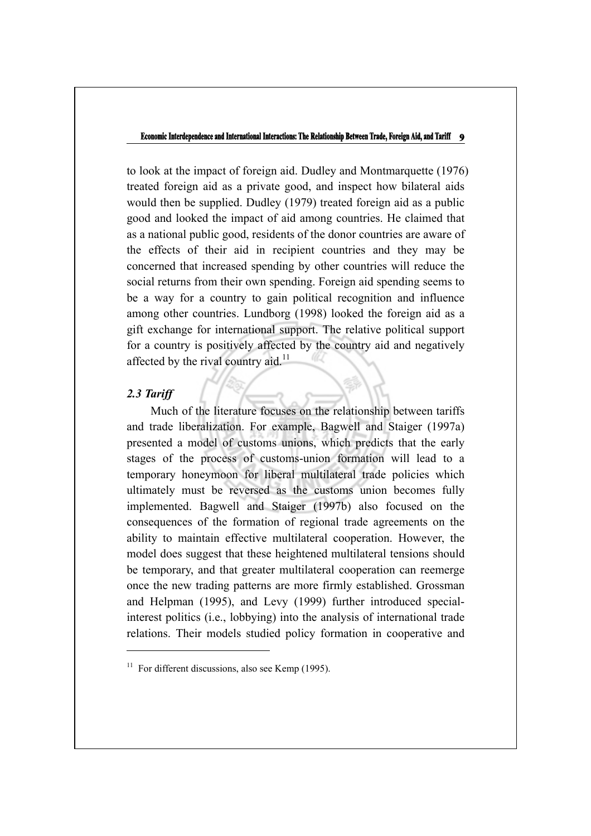to look at the impact of foreign aid. Dudley and Montmarquette (1976) treated foreign aid as a private good, and inspect how bilateral aids would then be supplied. Dudley (1979) treated foreign aid as a public good and looked the impact of aid among countries. He claimed that as a national public good, residents of the donor countries are aware of the effects of their aid in recipient countries and they may be concerned that increased spending by other countries will reduce the social returns from their own spending. Foreign aid spending seems to be a way for a country to gain political recognition and influence among other countries. Lundborg (1998) looked the foreign aid as a gift exchange for international support. The relative political support for a country is positively affected by the country aid and negatively affected by the rival country aid. $^{11}$ 

## *2.3 Tariff*

Much of the literature focuses on the relationship between tariffs and trade liberalization. For example, Bagwell and Staiger (1997a) presented a model of customs unions, which predicts that the early stages of the process of customs-union formation will lead to a temporary honeymoon for liberal multilateral trade policies which ultimately must be reversed as the customs union becomes fully implemented. Bagwell and Staiger (1997b) also focused on the consequences of the formation of regional trade agreements on the ability to maintain effective multilateral cooperation. However, the model does suggest that these heightened multilateral tensions should be temporary, and that greater multilateral cooperation can reemerge once the new trading patterns are more firmly established. Grossman and Helpman (1995), and Levy (1999) further introduced specialinterest politics (i.e., lobbying) into the analysis of international trade relations. Their models studied policy formation in cooperative and

 $11$  For different discussions, also see Kemp (1995).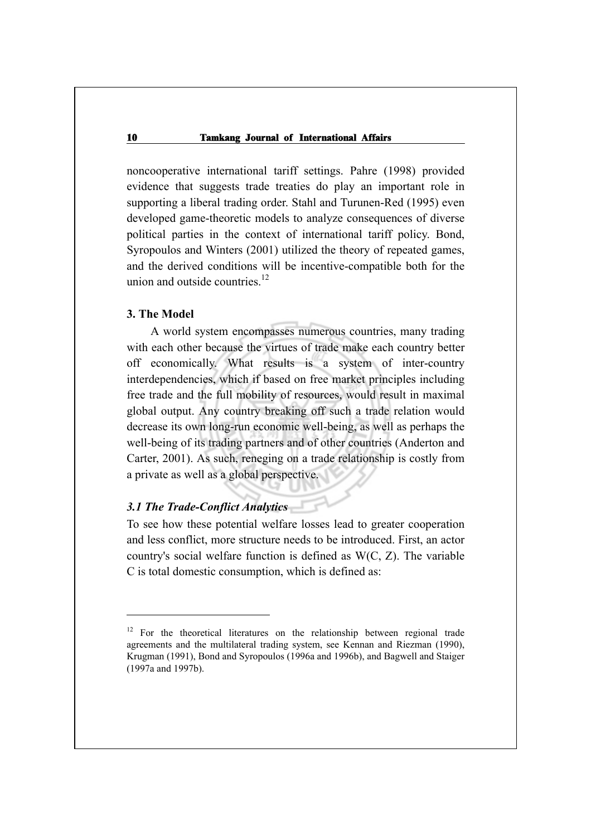noncooperative international tariff settings. Pahre (1998) provided evidence that suggests trade treaties do play an important role in supporting a liberal trading order. Stahl and Turunen-Red (1995) even developed game-theoretic models to analyze consequences of diverse political parties in the context of international tariff policy. Bond, Syropoulos and Winters (2001) utilized the theory of repeated games, and the derived conditions will be incentive-compatible both for the union and outside countries. $12$ 

## **3. The Model**

A world system encompasses numerous countries, many trading with each other because the virtues of trade make each country better off economically. What results is a system of inter-country interdependencies, which if based on free market principles including free trade and the full mobility of resources, would result in maximal global output. Any country breaking off such a trade relation would decrease its own long-run economic well-being, as well as perhaps the well-being of its trading partners and of other countries (Anderton and Carter, 2001). As such, reneging on a trade relationship is costly from a private as well as a global perspective.

## *3.1 The Trade-Conflict Analytics*

 $\overline{a}$ 

To see how these potential welfare losses lead to greater cooperation and less conflict, more structure needs to be introduced. First, an actor country's social welfare function is defined as W(C, Z). The variable C is total domestic consumption, which is defined as:

 $12$  For the theoretical literatures on the relationship between regional trade agreements and the multilateral trading system, see Kennan and Riezman (1990), Krugman (1991), Bond and Syropoulos (1996a and 1996b), and Bagwell and Staiger (1997a and 1997b).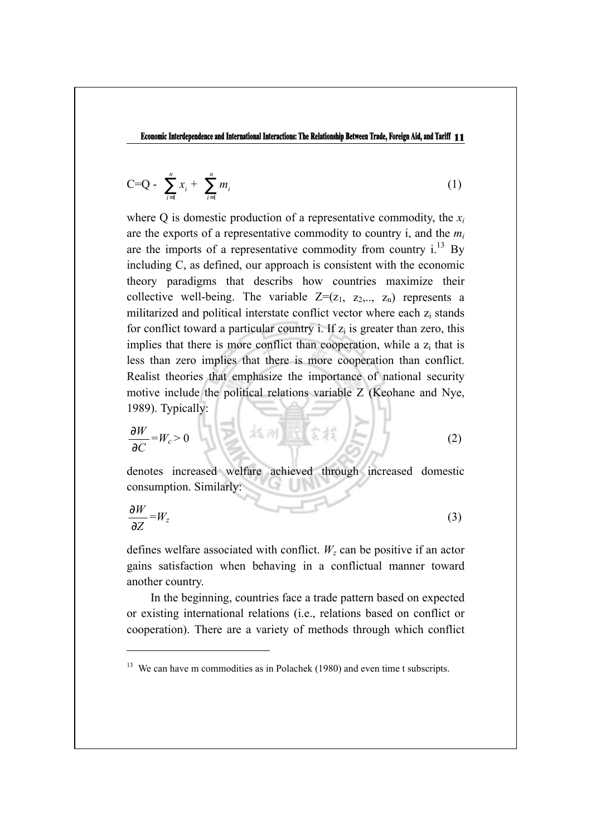$$
C = Q - \sum_{i=1}^{n} x_i + \sum_{i=1}^{n} m_i
$$
 (1)

where Q is domestic production of a representative commodity, the *xi* are the exports of a representative commodity to country i, and the *mi* are the imports of a representative commodity from country  $i^{13}$  By including C, as defined, our approach is consistent with the economic theory paradigms that describs how countries maximize their collective well-being. The variable  $Z=(z_1, z_2,..., z_n)$  represents a militarized and political interstate conflict vector where each z<sub>i</sub> stands for conflict toward a particular country i. If  $z_i$  is greater than zero, this implies that there is more conflict than cooperation, while a  $z_i$  that is less than zero implies that there is more cooperation than conflict. Realist theories that emphasize the importance of national security motive include the political relations variable Z (Keohane and Nye, 1989). Typically:

$$
\frac{\partial W}{\partial C} = W_c > 0 \qquad (2)
$$

denotes increased welfare achieved through increased domestic consumption. Similarly:

$$
\frac{\partial W}{\partial Z} = W_z \tag{3}
$$

defines welfare associated with conflict.  $W_z$  can be positive if an actor gains satisfaction when behaving in a conflictual manner toward another country.

In the beginning, countries face a trade pattern based on expected or existing international relations (i.e., relations based on conflict or cooperation). There are a variety of methods through which conflict

<sup>&</sup>lt;sup>13</sup> We can have m commodities as in Polachek (1980) and even time t subscripts.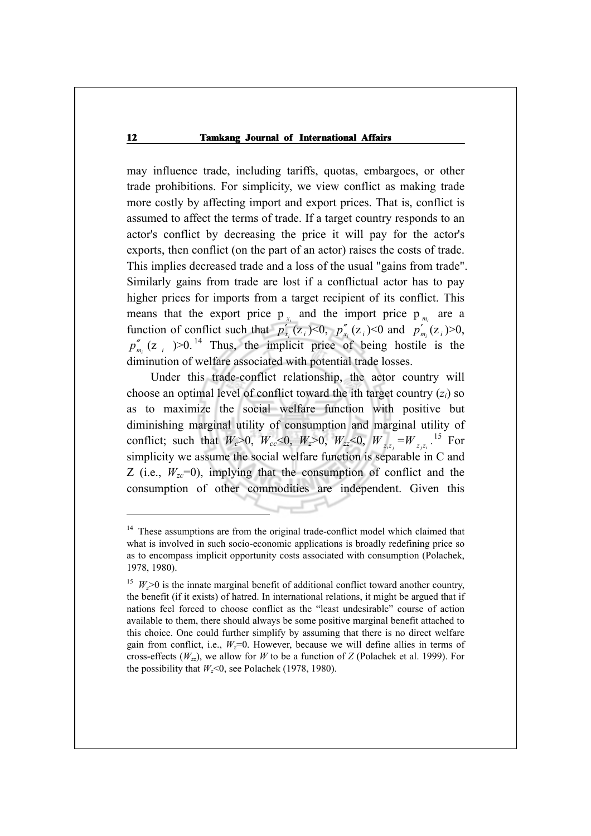may influence trade, including tariffs, quotas, embargoes, or other trade prohibitions. For simplicity, we view conflict as making trade more costly by affecting import and export prices. That is, conflict is assumed to affect the terms of trade. If a target country responds to an actor's conflict by decreasing the price it will pay for the actor's exports, then conflict (on the part of an actor) raises the costs of trade. This implies decreased trade and a loss of the usual "gains from trade". Similarly gains from trade are lost if a conflictual actor has to pay higher prices for imports from a target recipient of its conflict. This means that the export price  $p_{x_i}$  and the import price  $p_{m_i}$  are a function of conflict such that  $p'_{x_i}(z_i) \le 0$ ,  $p''_{x_i}(z_i) \le 0$  and  $p'_{m_i}(z_i) \ge 0$ ,  $p''_{m_i}$  (z *i* )>0.<sup>14</sup> Thus, the implicit price of being hostile is the diminution of welfare associated with potential trade losses.

Under this trade-conflict relationship, the actor country will choose an optimal level of conflict toward the ith target country (*zi*) so as to maximize the social welfare function with positive but diminishing marginal utility of consumption and marginal utility of conflict; such that  $W_c > 0$ ,  $W_{cc} < 0$ ,  $W_z > 0$ ,  $W_{zz} < 0$ ,  $W_{z_1 z_1} = W_{z_1 z_2}$ .<sup>15</sup> For simplicity we assume the social welfare function is separable in C and Z (i.e.,  $W_{zc}$ =0), implying that the consumption of conflict and the consumption of other commodities are independent. Given this

<sup>&</sup>lt;sup>14</sup> These assumptions are from the original trade-conflict model which claimed that what is involved in such socio-economic applications is broadly redefining price so as to encompass implicit opportunity costs associated with consumption (Polachek, 1978, 1980).

<sup>&</sup>lt;sup>15</sup>  $W > 0$  is the innate marginal benefit of additional conflict toward another country, the benefit (if it exists) of hatred. In international relations, it might be argued that if nations feel forced to choose conflict as the "least undesirable" course of action available to them, there should always be some positive marginal benefit attached to this choice. One could further simplify by assuming that there is no direct welfare gain from conflict, i.e.,  $W_z=0$ . However, because we will define allies in terms of cross-effects  $(W_{zz})$ , we allow for *W* to be a function of *Z* (Polachek et al. 1999). For the possibility that  $W<sub>z</sub><0$ , see Polachek (1978, 1980).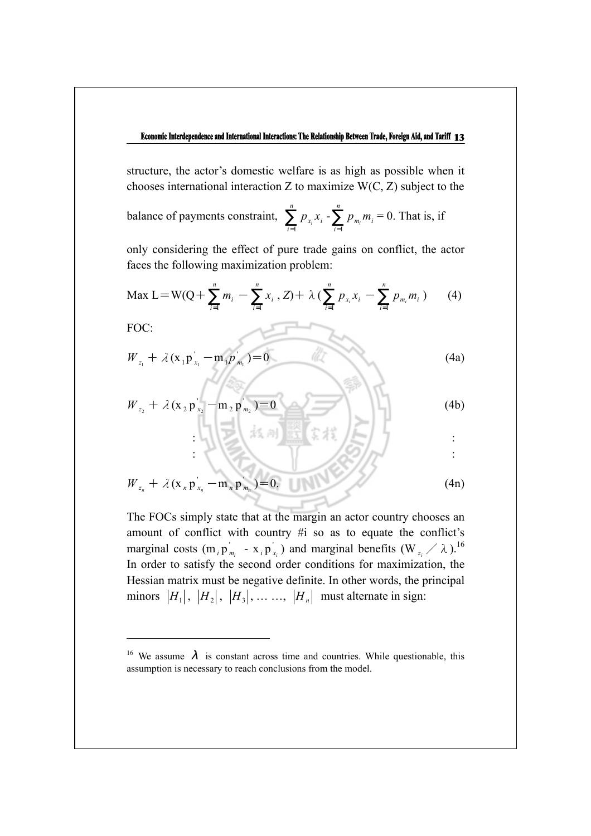structure, the actor's domestic welfare is as high as possible when it chooses international interaction  $Z$  to maximize  $W(C, Z)$  subject to the

balance of payments constraint,  $\sum_{i=1}^{n}$ *i*  $\sum_{i=1}^{n} p_{x_i} x_i - \sum_{i=1}^{n} p_{x_i} x_i$  $\sum_{i=1} P_{m_i} m_i$  $= 0$ . That is, if

only considering the effect of pure trade gains on conflict, the actor faces the following maximization problem:

$$
\text{Max } L = W(Q + \sum_{i=1}^{n} m_i \text{ } - \sum_{i=1}^{n} x_i \text{ , } Z) + \lambda \text{ } (\sum_{i=1}^{n} p_{x_i} x_i \text{ } - \sum_{i=1}^{n} p_{m_i} m_i \text{ } ) \qquad (4)
$$

FOC:

$$
W_{z_1} + \lambda (x_1 p_{x_1} - m_1 p_{m_1}) = 0
$$
 (4a)

$$
W_{z_2} + \lambda (x_2 p_{x_2} - m_2 p_{m_2}) = 0
$$
 (4b)  

$$
\frac{1}{2} [x_1^2 x_2^2 + x_1^2 x_2^2 + x_2^2 x_1^2 + x_2^2 x_2^2 + x_1^2 x_2^2 + x_2^2 x_1^2 x_2^2 + x_1^2 x_2^2 x_2^2 + x_1^2 x_2^2 x_2^2 + x_1^2 x_2^2 x_2^2 + x_1^2 x_2^2 x_2^2 + x_1^2 x_2^2 x_2^2 + x_1^2 x_2^2 x_2^2 + x_1^2 x_2^2 x_2^2 + x_1^2 x_2^2 x_2^2 + x_1^2 x_2^2 x_2^2 + x_1^2 x_2^2 x_2^2 + x_1^2 x_2^2 x_2^2 + x_1^2 x_2^2 x_2^2 + x_1^2 x_2^2 x_2^2 + x_1^2 x_2^2 x_2^2 + x_1^2 x_2^2 x_2^2 + x_1^2 x_2^2 x_2^2 + x_1^2 x_2^2 x_2^2 + x_1^2 x_2^2 x_2^2 + x_1^2 x_2^2 x_2^2 + x_1^2 x_2^2 x_2^2 + x_1^2 x_2^2 x_2^2 + x_1^2 x_2^2 x_2^2 + x_1^2 x_2^2 x_2^2 + x_1^2 x_2^2 x_2^2 + x_1^2 x_2^2 x_2^2 + x_1^2 x_2^2 x_2^2 + x_1^2 x_2^2 x_2^2 + x_1^2 x_2^2 x_2^2 + x_1^2 x_2^2 x_2^2 + x_1^2 x_2^2 x_2^2 + x_1^2 x_2^2 x_2^2 + x_1^2 x_2^2 x_2^2 + x_1^2 x_2^2 x_2^2 + x_1^2 x_2^2 x_2^2 + x_1^2 x_2^2 x_2^2 + x_1^2 x_2^2 x_2^2 + x_1^2 x_2^2 x_2^2 + x_1^2 x_2^2 x_2^2 + x_1^2 x_2^2 x_2^2 + x_1^2 x_2^2 x
$$

$$
W_{z_n} + \lambda (x_n p_{x_n} - m_n p_{m_n}^{\dagger}) = 0. \tag{4n}
$$

The FOCs simply state that at the margin an actor country chooses an amount of conflict with country #i so as to equate the conflict's marginal costs (m<sub>*i*</sub> p<sup>'</sup><sub>*m<sub>i</sub>*</sub> - x<sub>*i*</sub> p<sup>'</sup><sub>*x<sub>i</sub>*</sub>) and marginal benefits (W<sub>*z<sub>i</sub></sub> /*  $\lambda$ ).<sup>16</sup></sub> In order to satisfy the second order conditions for maximization, the Hessian matrix must be negative definite. In other words, the principal minors  $|H_1|$ ,  $|H_2|$ ,  $|H_3|$ , ... ...,  $|H_n|$  must alternate in sign:

<sup>&</sup>lt;sup>16</sup> We assume  $\lambda$  is constant across time and countries. While questionable, this assumption is necessary to reach conclusions from the model.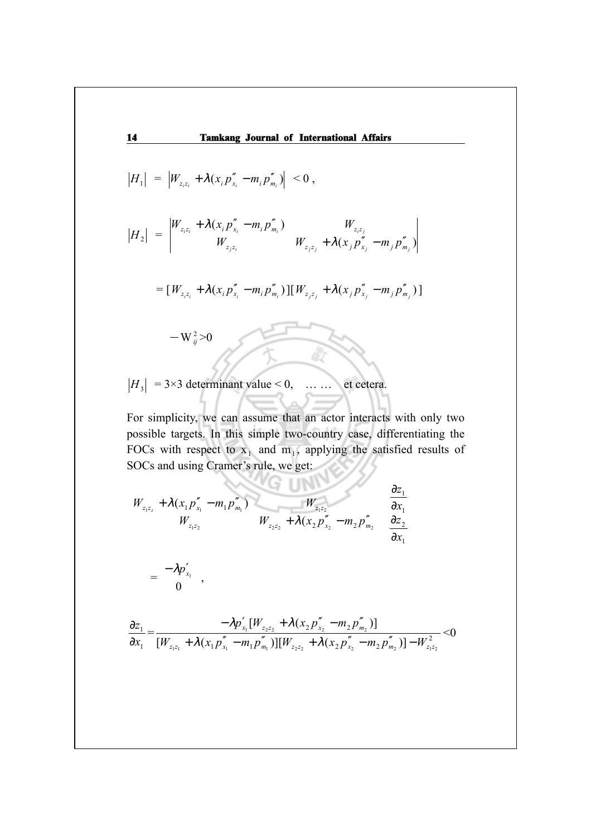**14 Tamkang Journal of International Affairs**   $H_1 \Big| = \Big| W_{z_i z_i} + \lambda (x_i p''_{x_i} - m_i p''_{m_i}) \Big| \leq 0 ,$  $H_2$  =  $\begin{pmatrix} z_{i}z_i & i \mu_{x_i} & i \mu_{x_i} & j \sigma_{x_i} \ w_{x_i}z_i & j \sigma_{x_i} & j \sigma_{x_i} & j \end{pmatrix}$  $(x_{i} p''_{i} - m_{i} p''_{m})$ *i*<sup>2</sup>*i i i i j j i j i j i m*<sub>*j*</sub> *j i m*<sub>*j*</sub> *i i i i i j*  $\sum_{z_i z_i}$  *r*  $z_i z_i$  +  $\sum_{i=1}^{n} P x_i$  =  $m_j P m$  $Z_{i}z_{i}$  *m*  $\mathcal{W}(X_{i}P_{X_{i}}-m_{i}P_{m_{i}})$  *m*  $Z_{i}z_{i}$  $W_{z,z}$   $W_{z,z}$   $+ \lambda (x_i p''_x - m_i p)$  $W_{zx} + \lambda (x_i p''_x - m_i p''_m)$  *W*  $+\lambda (x_{i} p''_{x_{i}} - m_{i} p''_{m})$  $+\lambda (x_i p''_{x_i} - m_i p''_{m_i})$ λ λ=  $[W_{z_iz_i} + \lambda (x_i p''_{x_i} - m_i p''_{m_i})][W_{z_iz_j} + \lambda (x_j p''_{x_j} - m_j p''_{m_j})]$  $-W_{ij}^2 > 0$ 

 $|H_3| = 3 \times 3$  determinant value < 0, … … et cetera.

For simplicity, we can assume that an actor interacts with only two possible targets. In this simple two-country case, differentiating the FOCs with respect to  $x_1$  and  $m_1$ , applying the satisfied results of SOCs and using Cramer's rule, we get:

 $\sqrt{2}$  in the  $\sqrt{2}$ 

$$
\begin{bmatrix} W_{z_1 z_2} + \lambda (x_1 p_{x_1}'' - m_1 p_{m_1}'') & W_{z_1 z_2} & W_{z_1 z_2} \\ W_{z_1 z_2} & W_{z_2 z_2} + \lambda (x_2 p_{x_2}'' - m_2 p_{m_2}'') \end{bmatrix} \begin{bmatrix} \frac{\partial z_1}{\partial x_1} \\ \frac{\partial z_2}{\partial x_1} \end{bmatrix}
$$

$$
= \left[\begin{matrix} -\lambda p'_{x_1} \\ 0 \end{matrix}\right],
$$

$$
\frac{\partial z_1}{\partial x_1} = \frac{-\lambda p'_{x_1} [W_{z_2 z_2} + \lambda (x_2 p''_{x_2} - m_2 p''_{m_2})]}{[W_{z_1 z_1} + \lambda (x_1 p''_{x_1} - m_1 p''_{m_1})][W_{z_2 z_2} + \lambda (x_2 p''_{x_2} - m_2 p''_{m_2})] - W_{z_1 z_2}^2} < 0
$$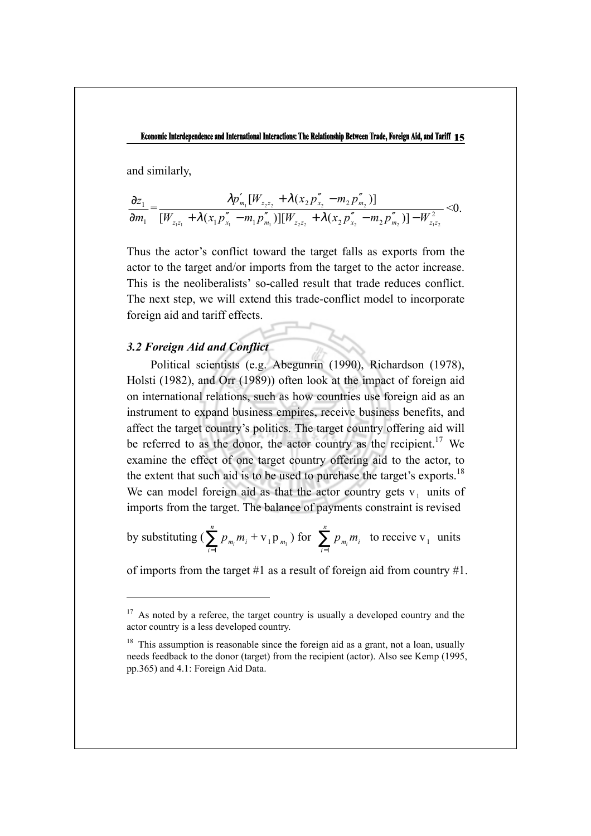and similarly,

$$
\frac{\partial z_1}{\partial m_1} = \frac{\lambda p'_{m_1} [W_{z_2 z_2} + \lambda (x_2 p''_{x_2} - m_2 p''_{m_2})]}{[W_{z_1 z_1} + \lambda (x_1 p''_{x_1} - m_1 p''_{m_1})][W_{z_2 z_2} + \lambda (x_2 p''_{x_2} - m_2 p''_{m_2})] - W_{z_1 z_2}^2} < 0.
$$

Thus the actor's conflict toward the target falls as exports from the actor to the target and/or imports from the target to the actor increase. This is the neoliberalists' so-called result that trade reduces conflict. The next step, we will extend this trade-conflict model to incorporate foreign aid and tariff effects.

## *3.2 Foreign Aid and Conflict*

 $\overline{a}$ 

Political scientists (e.g. Abegunrin (1990), Richardson (1978), Holsti (1982), and Orr (1989)) often look at the impact of foreign aid on international relations, such as how countries use foreign aid as an instrument to expand business empires, receive business benefits, and affect the target country's politics. The target country offering aid will be referred to as the donor, the actor country as the recipient.<sup>17</sup> We examine the effect of one target country offering aid to the actor, to the extent that such aid is to be used to purchase the target's exports.<sup>18</sup> We can model foreign aid as that the actor country gets  $v_1$  units of imports from the target. The balance of payments constraint is revised

by substituting ( $\sum_{i=1}^{n}$  $\sum_{i=1}^{n} p_{m_i} m_i + \mathbf{v}_1 \mathbf{p}_{m_1}$  ) for  $\sum_{i=1}^{n}$  $\sum_{i=1} P_{m_i} m_i$ to receive  $v_1$  units

of imports from the target #1 as a result of foreign aid from country #1.

 $17$  As noted by a referee, the target country is usually a developed country and the actor country is a less developed country.

 $18$  This assumption is reasonable since the foreign aid as a grant, not a loan, usually needs feedback to the donor (target) from the recipient (actor). Also see Kemp (1995, pp.365) and 4.1: Foreign Aid Data.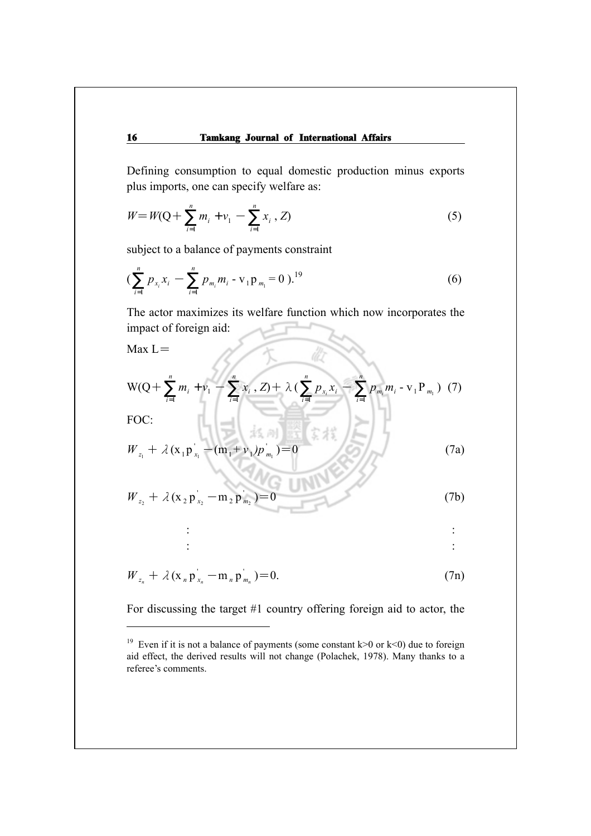Defining consumption to equal domestic production minus exports plus imports, one can specify welfare as:

$$
W = W(Q + \sum_{i=1}^{n} m_i + \nu_1 - \sum_{i=1}^{n} x_i, Z)
$$
 (5)

subject to a balance of payments constraint

$$
\left(\sum_{i=1}^{n} p_{x_i} x_i - \sum_{i=1}^{n} p_{m_i} m_i - \mathbf{v}_1 \mathbf{p}_{m_1} = 0\right)^{19} \tag{6}
$$

The actor maximizes its welfare function which now incorporates the impact of foreign aid:

 $Max L =$ 

$$
W(Q + \sum_{i=1}^{n} m_i + v_1 - \sum_{i=1}^{n} x_i, Z) + \lambda \left( \sum_{i=1}^{n} p_{x_i} x_i - \sum_{i=1}^{n} p_{m_i} m_i - v_1 P_{m_1} \right) (7)
$$
  
FOC:

FOC:

$$
W_{z_1} + \lambda (x_1 p_{x_1} - (m_1 + \nu_1) p_{m_1}) = 0
$$
 (7a)

$$
W_{z_2} + \lambda (x_2 p_{x_2} - m_2 p_{m_2}) = 0
$$
 (7b)

$$
\frac{1}{2} \left( \frac{1}{2} \right)^2 \left( \frac{1}{2} \right)^2 \left( \frac{1}{2} \right)^2 \left( \frac{1}{2} \right)^2 \left( \frac{1}{2} \right)^2 \left( \frac{1}{2} \right)^2 \left( \frac{1}{2} \right)^2 \left( \frac{1}{2} \right)^2 \left( \frac{1}{2} \right)^2 \left( \frac{1}{2} \right)^2 \left( \frac{1}{2} \right)^2 \left( \frac{1}{2} \right)^2 \left( \frac{1}{2} \right)^2 \left( \frac{1}{2} \right)^2 \left( \frac{1}{2} \right)^2 \left( \frac{1}{2} \right)^2 \left( \frac{1}{2} \right)^2 \left( \frac{1}{2} \right)^2 \left( \frac{1}{2} \right)^2 \left( \frac{1}{2} \right)^2 \left( \frac{1}{2} \right)^2 \left( \frac{1}{2} \right)^2 \left( \frac{1}{2} \right)^2 \left( \frac{1}{2} \right)^2 \left( \frac{1}{2} \right)^2 \left( \frac{1}{2} \right)^2 \left( \frac{1}{2} \right)^2 \left( \frac{1}{2} \right)^2 \left( \frac{1}{2} \right)^2 \left( \frac{1}{2} \right)^2 \left( \frac{1}{2} \right)^2 \left( \frac{1}{2} \right)^2 \left( \frac{1}{2} \right)^2 \left( \frac{1}{2} \right)^2 \left( \frac{1}{2} \right)^2 \left( \frac{1}{2} \right)^2 \left( \frac{1}{2} \right)^2 \left( \frac{1}{2} \right)^2 \left( \frac{1}{2} \right)^2 \left( \frac{1}{2} \right)^2 \left( \frac{1}{2} \right)^2 \left( \frac{1}{2} \right)^2 \left( \frac{1}{2} \right)^2 \left( \frac{1}{2} \right)^2 \left( \frac{1}{2} \right)^2 \left( \frac{1}{2} \right)^2 \left( \frac{1}{2} \right)^2 \left( \frac{1}{2} \right)^2 \left( \frac{1}{2} \right)^2 \left( \frac{1}{2} \right)^2 \left( \frac{1}{2} \right)^2 \left( \frac{1}{2} \right)^2 \left( \frac{1}{2} \right)^2 \left( \frac{1}{2} \
$$

$$
W_{z_n} + \lambda (x_n p_{x_n} - m_n p_{m_n}^{\prime}) = 0.
$$
 (7n)

For discussing the target #1 country offering foreign aid to actor, the

<sup>&</sup>lt;sup>19</sup> Even if it is not a balance of payments (some constant  $k>0$  or  $k<0$ ) due to foreign aid effect, the derived results will not change (Polachek, 1978). Many thanks to a referee's comments.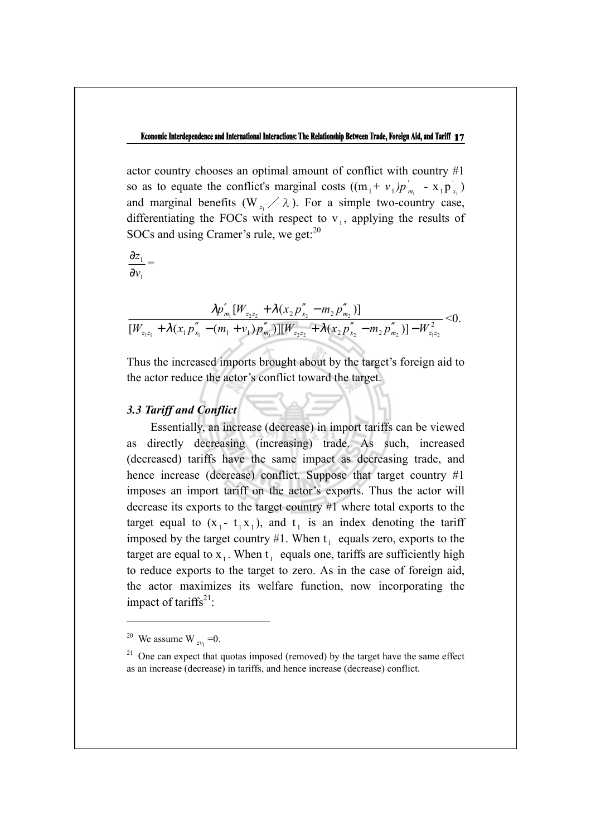actor country chooses an optimal amount of conflict with country #1 so as to equate the conflict's marginal costs  $((m_1 + v_1)p_{m_1}^{\dagger} - x_1 p_{x_1}^{\dagger})$ and marginal benefits ( $W_z$  / $\lambda$ ). For a simple two-country case, differentiating the FOCs with respect to  $v_1$ , applying the results of SOCs and using Cramer's rule, we get:<sup>20</sup>

1 1 *v z* ∂  $\frac{\partial z_1}{\partial z_2} =$ 

$$
\frac{\lambda p'_{m_1}[W_{z_2z_2} + \lambda(x_2p''_{x_2} - m_2p''_{m_2})]}{[W_{z_1z_1} + \lambda(x_1p''_{x_1} - (m_1 + \nu_1)p''_{m_1})][W_{z_2z_2} + \lambda(x_2p''_{x_2} - m_2p''_{m_2})] - W_{z_1z_2}^2} < 0.
$$

Thus the increased imports brought about by the target's foreign aid to the actor reduce the actor's conflict toward the target.

### *3.3 Tariff and Conflict*

Essentially, an increase (decrease) in import tariffs can be viewed as directly decreasing (increasing) trade. As such, increased (decreased) tariffs have the same impact as decreasing trade, and hence increase (decrease) conflict. Suppose that target country #1 imposes an import tariff on the actor's exports. Thus the actor will decrease its exports to the target country #1 where total exports to the target equal to  $(x_1 - t_1 x_1)$ , and  $t_1$  is an index denoting the tariff imposed by the target country #1. When  $t_1$  equals zero, exports to the target are equal to  $x_1$ . When  $t_1$  equals one, tariffs are sufficiently high to reduce exports to the target to zero. As in the case of foreign aid, the actor maximizes its welfare function, now incorporating the impact of tariffs<sup>21</sup>:

<sup>&</sup>lt;sup>20</sup> We assume W  $_{zv}$  =0.

 $21$  One can expect that quotas imposed (removed) by the target have the same effect as an increase (decrease) in tariffs, and hence increase (decrease) conflict.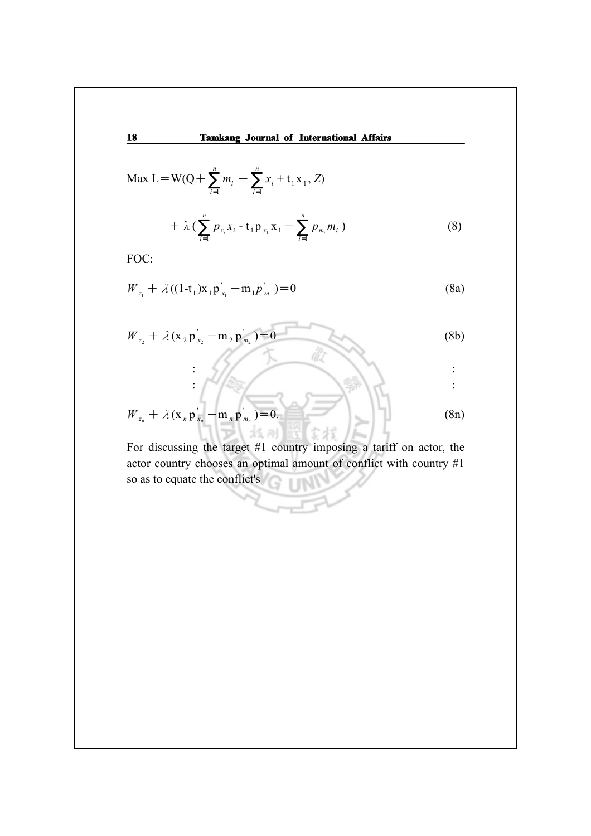$$
\text{Max } L = W(Q + \sum_{i=1}^{n} m_i - \sum_{i=1}^{n} x_i + t_1 x_1, Z)
$$

$$
+ \lambda \left( \sum_{i=1}^{n} p_{x_i} x_i - t_1 p_{x_1} x_1 - \sum_{i=1}^{n} p_{m_i} m_i \right) \tag{8}
$$

FOC:

$$
W_{z_1} + \lambda ((1-t_1)x_1 p_{x_1}^{'} - m_1 p_{m_1}^{'} ) = 0
$$
 (8a)

$$
W_{z_2} + \lambda (x_2 p_{x_2} - m_2 p_{m_2}) = 0
$$
 (8b)

 $\frac{1}{2}$  $\sqrt{2\alpha}/\sqrt{2\alpha}$ 

$$
W_{z_n} + \lambda (x_n p_{x_n} - m_n p_{m_n}) = 0. \tag{8n}
$$

For discussing the target #1 country imposing a tariff on actor, the actor country chooses an optimal amount of conflict with country #1 so as to equate the conflict's **TIN**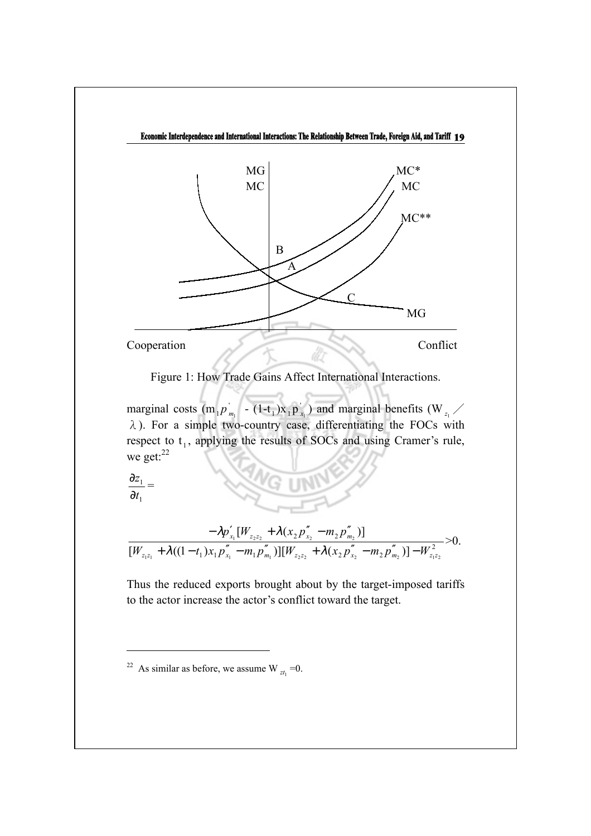

Figure 1: How Trade Gains Affect International Interactions.

marginal costs (m<sub>1</sub> $p'_{m_1}$  - (1-t<sub>1</sub>)x<sub>1</sub> $p'_{x_1}$ ) and marginal benefits (W<sub> $z_1$ </sub> /  $\lambda$ ). For a simple two-country case, differentiating the FOCs with respect to  $t_1$ , applying the results of SOCs and using Cramer's rule, we get:<sup>22</sup>

1 1 *t z* ∂  $\frac{\partial z_1}{\partial z} =$ 

$$
\frac{-\lambda p'_{x_1}[W_{z_2z_2} + \lambda (x_2 p''_{x_2} - m_2 p''_{m_2})]}{[W_{z_1z_1} + \lambda ((1-t_1)x_1 p''_{x_1} - m_1 p''_{m_1})][W_{z_2z_2} + \lambda (x_2 p''_{x_2} - m_2 p''_{m_2})] - W_{z_1z_2}^2} > 0.
$$

Thus the reduced exports brought about by the target-imposed tariffs to the actor increase the actor's conflict toward the target.

<sup>&</sup>lt;sup>22</sup> As similar as before, we assume W  $_{7t}$  =0.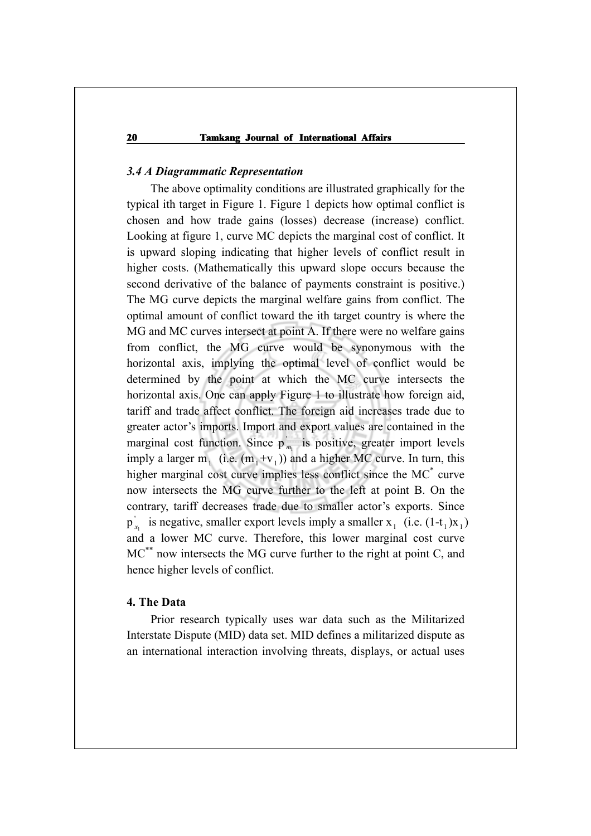## *3.4 A Diagrammatic Representation*

The above optimality conditions are illustrated graphically for the typical ith target in Figure 1. Figure 1 depicts how optimal conflict is chosen and how trade gains (losses) decrease (increase) conflict. Looking at figure 1, curve MC depicts the marginal cost of conflict. It is upward sloping indicating that higher levels of conflict result in higher costs. (Mathematically this upward slope occurs because the second derivative of the balance of payments constraint is positive.) The MG curve depicts the marginal welfare gains from conflict. The optimal amount of conflict toward the ith target country is where the MG and MC curves intersect at point A. If there were no welfare gains from conflict, the MG curve would be synonymous with the horizontal axis, implying the optimal level of conflict would be determined by the point at which the MC curve intersects the horizontal axis. One can apply Figure 1 to illustrate how foreign aid, tariff and trade affect conflict. The foreign aid increases trade due to greater actor's imports. Import and export values are contained in the marginal cost function. Since  $p_{m_1}$  is positive, greater import levels imply a larger m<sub>1</sub> (i.e.  $(m_1+v_1)$ ) and a higher MC curve. In turn, this higher marginal cost curve implies less conflict since the MC<sup>\*</sup> curve now intersects the MG curve further to the left at point B. On the contrary, tariff decreases trade due to smaller actor's exports. Since  $p'_{x_1}$  is negative, smaller export levels imply a smaller  $x_1$  (i.e.  $(1-t_1)x_1$ ) and a lower MC curve. Therefore, this lower marginal cost curve MC<sup>\*\*</sup> now intersects the MG curve further to the right at point C, and hence higher levels of conflict.

## **4. The Data**

Prior research typically uses war data such as the Militarized Interstate Dispute (MID) data set. MID defines a militarized dispute as an international interaction involving threats, displays, or actual uses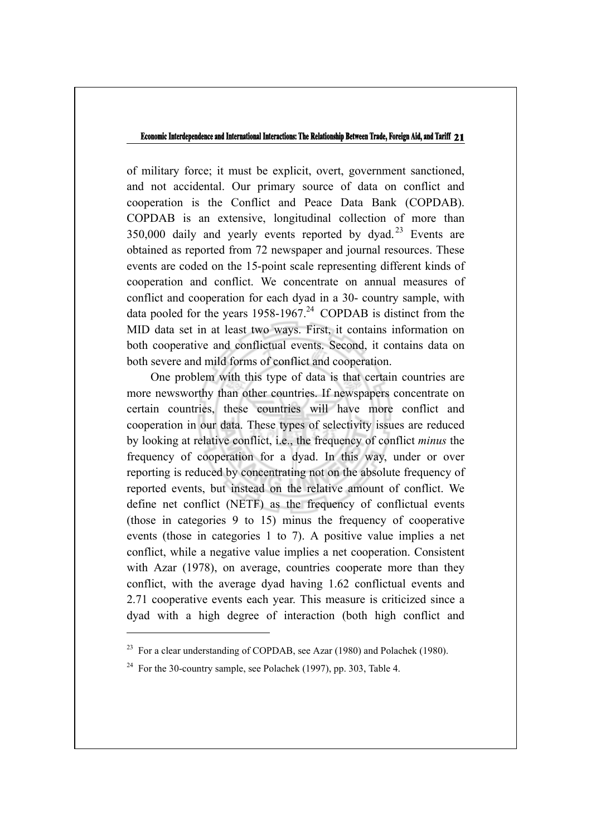of military force; it must be explicit, overt, government sanctioned, and not accidental. Our primary source of data on conflict and cooperation is the Conflict and Peace Data Bank (COPDAB). COPDAB is an extensive, longitudinal collection of more than  $350,000$  daily and yearly events reported by dyad.<sup>23</sup> Events are obtained as reported from 72 newspaper and journal resources. These events are coded on the 15-point scale representing different kinds of cooperation and conflict. We concentrate on annual measures of conflict and cooperation for each dyad in a 30- country sample, with data pooled for the years  $1958-1967<sup>24</sup>$  COPDAB is distinct from the MID data set in at least two ways. First, it contains information on both cooperative and conflictual events. Second, it contains data on both severe and mild forms of conflict and cooperation.

One problem with this type of data is that certain countries are more newsworthy than other countries. If newspapers concentrate on certain countries, these countries will have more conflict and cooperation in our data. These types of selectivity issues are reduced by looking at relative conflict, i.e., the frequency of conflict *minus* the frequency of cooperation for a dyad. In this way, under or over reporting is reduced by concentrating not on the absolute frequency of reported events, but instead on the relative amount of conflict. We define net conflict (NETF) as the frequency of conflictual events (those in categories 9 to 15) minus the frequency of cooperative events (those in categories 1 to 7). A positive value implies a net conflict, while a negative value implies a net cooperation. Consistent with Azar (1978), on average, countries cooperate more than they conflict, with the average dyad having 1.62 conflictual events and 2.71 cooperative events each year. This measure is criticized since a dyad with a high degree of interaction (both high conflict and

<sup>&</sup>lt;sup>23</sup> For a clear understanding of COPDAB, see Azar (1980) and Polachek (1980).

<sup>&</sup>lt;sup>24</sup> For the 30-country sample, see Polachek (1997), pp. 303, Table 4.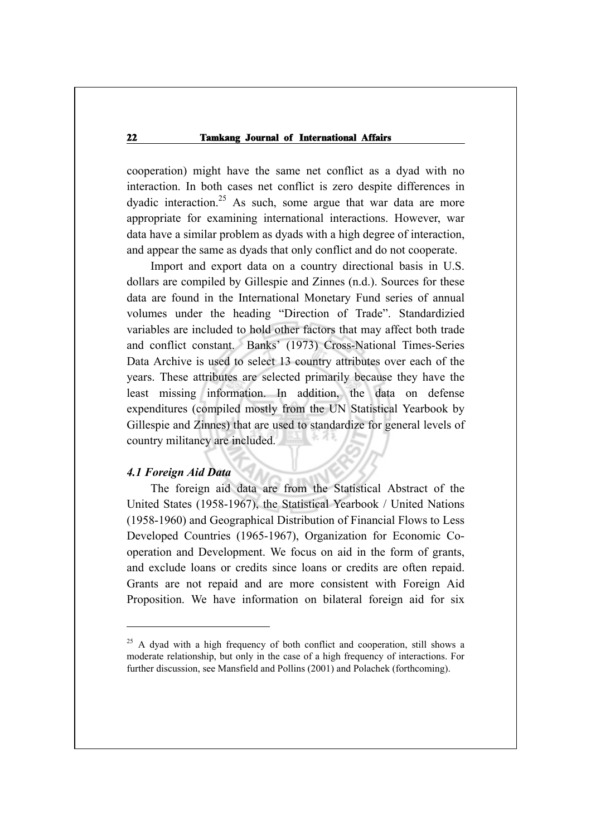cooperation) might have the same net conflict as a dyad with no interaction. In both cases net conflict is zero despite differences in dyadic interaction.<sup>25</sup> As such, some argue that war data are more appropriate for examining international interactions. However, war data have a similar problem as dyads with a high degree of interaction, and appear the same as dyads that only conflict and do not cooperate.

Import and export data on a country directional basis in U.S. dollars are compiled by Gillespie and Zinnes (n.d.). Sources for these data are found in the International Monetary Fund series of annual volumes under the heading "Direction of Trade". Standardizied variables are included to hold other factors that may affect both trade and conflict constant. Banks' (1973) Cross-National Times-Series Data Archive is used to select 13 country attributes over each of the years. These attributes are selected primarily because they have the least missing information. In addition, the data on defense expenditures (compiled mostly from the UN Statistical Yearbook by Gillespie and Zinnes) that are used to standardize for general levels of country militancy are included.

## *4.1 Foreign Aid Data*

 $\overline{a}$ 

The foreign aid data are from the Statistical Abstract of the United States (1958-1967), the Statistical Yearbook / United Nations (1958-1960) and Geographical Distribution of Financial Flows to Less Developed Countries (1965-1967), Organization for Economic Cooperation and Development. We focus on aid in the form of grants, and exclude loans or credits since loans or credits are often repaid. Grants are not repaid and are more consistent with Foreign Aid Proposition. We have information on bilateral foreign aid for six

 $25$  A dyad with a high frequency of both conflict and cooperation, still shows a moderate relationship, but only in the case of a high frequency of interactions. For further discussion, see Mansfield and Pollins (2001) and Polachek (forthcoming).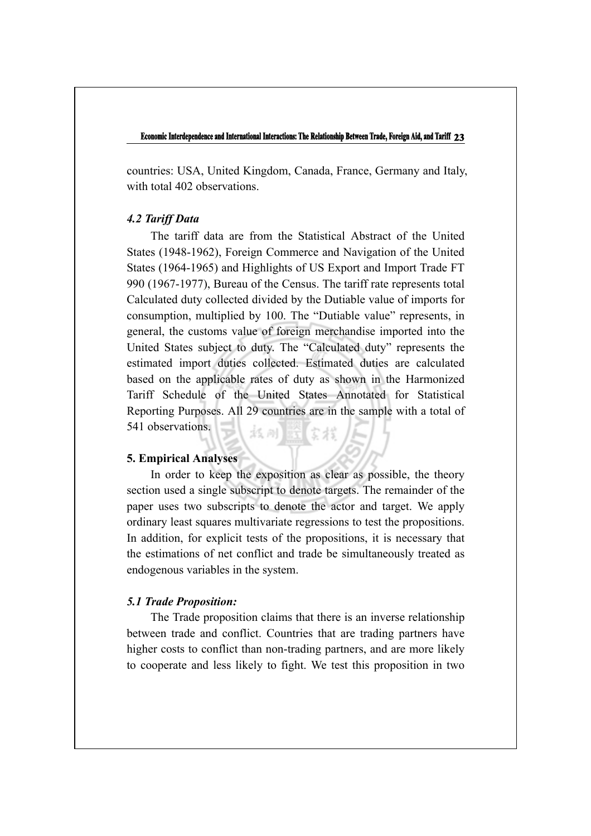countries: USA, United Kingdom, Canada, France, Germany and Italy, with total 402 observations.

## *4.2 Tariff Data*

The tariff data are from the Statistical Abstract of the United States (1948-1962), Foreign Commerce and Navigation of the United States (1964-1965) and Highlights of US Export and Import Trade FT 990 (1967-1977), Bureau of the Census. The tariff rate represents total Calculated duty collected divided by the Dutiable value of imports for consumption, multiplied by 100. The "Dutiable value" represents, in general, the customs value of foreign merchandise imported into the United States subject to duty. The "Calculated duty" represents the estimated import duties collected. Estimated duties are calculated based on the applicable rates of duty as shown in the Harmonized Tariff Schedule of the United States Annotated for Statistical Reporting Purposes. All 29 countries are in the sample with a total of 541 observations. 抵刑 蓝 安楼

## **5. Empirical Analyses**

In order to keep the exposition as clear as possible, the theory section used a single subscript to denote targets. The remainder of the paper uses two subscripts to denote the actor and target. We apply ordinary least squares multivariate regressions to test the propositions. In addition, for explicit tests of the propositions, it is necessary that the estimations of net conflict and trade be simultaneously treated as endogenous variables in the system.

## *5.1 Trade Proposition:*

The Trade proposition claims that there is an inverse relationship between trade and conflict. Countries that are trading partners have higher costs to conflict than non-trading partners, and are more likely to cooperate and less likely to fight. We test this proposition in two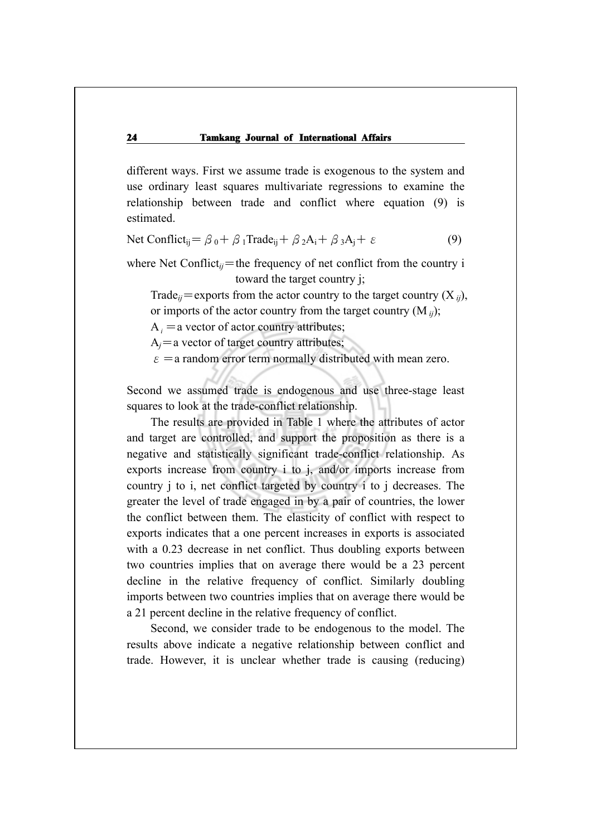different ways. First we assume trade is exogenous to the system and use ordinary least squares multivariate regressions to examine the relationship between trade and conflict where equation (9) is estimated.

Net Conflict<sub>ij</sub>=  $\beta_0 + \beta_1$ Trade<sub>ij</sub> +  $\beta_2A_i + \beta_3A_j + \varepsilon$  (9)

where Net Conflict<sub>ij</sub>=the frequency of net conflict from the country i toward the target country j;

Trade<sub>ij</sub>=exports from the actor country to the target country  $(X_{ii})$ , or imports of the actor country from the target country (M *ij*);

 $A_i$  = a vector of actor country attributes;

 $A_i$ =a vector of target country attributes;

 $\varepsilon$  = a random error term normally distributed with mean zero.

Second we assumed trade is endogenous and use three-stage least squares to look at the trade-conflict relationship.

The results are provided in Table 1 where the attributes of actor and target are controlled, and support the proposition as there is a negative and statistically significant trade-conflict relationship. As exports increase from country i to j, and/or imports increase from country j to i, net conflict targeted by country i to j decreases. The greater the level of trade engaged in by a pair of countries, the lower the conflict between them. The elasticity of conflict with respect to exports indicates that a one percent increases in exports is associated with a 0.23 decrease in net conflict. Thus doubling exports between two countries implies that on average there would be a 23 percent decline in the relative frequency of conflict. Similarly doubling imports between two countries implies that on average there would be a 21 percent decline in the relative frequency of conflict.

Second, we consider trade to be endogenous to the model. The results above indicate a negative relationship between conflict and trade. However, it is unclear whether trade is causing (reducing)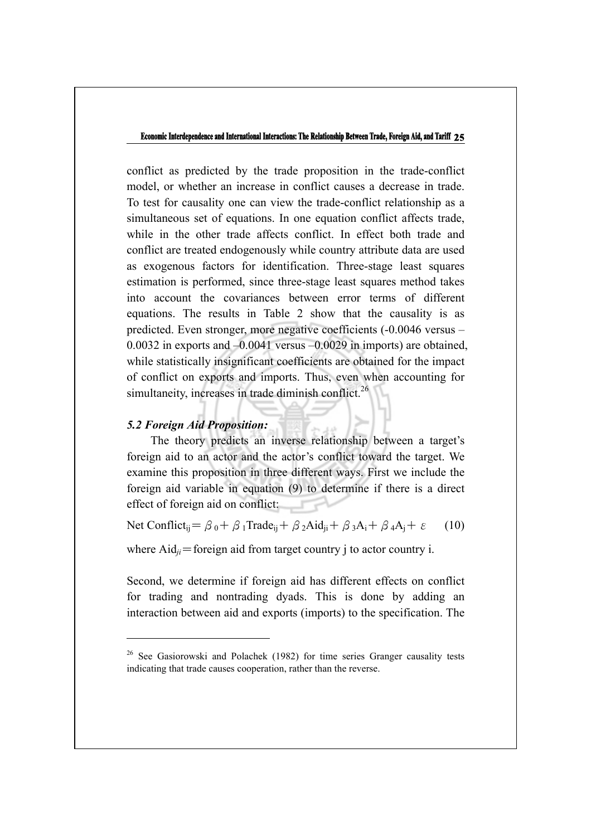conflict as predicted by the trade proposition in the trade-conflict model, or whether an increase in conflict causes a decrease in trade. To test for causality one can view the trade-conflict relationship as a simultaneous set of equations. In one equation conflict affects trade, while in the other trade affects conflict. In effect both trade and conflict are treated endogenously while country attribute data are used as exogenous factors for identification. Three-stage least squares estimation is performed, since three-stage least squares method takes into account the covariances between error terms of different equations. The results in Table 2 show that the causality is as predicted. Even stronger, more negative coefficients (-0.0046 versus – 0.0032 in exports and –0.0041 versus –0.0029 in imports) are obtained, while statistically insignificant coefficients are obtained for the impact of conflict on exports and imports. Thus, even when accounting for simultaneity, increases in trade diminish conflict.<sup>26</sup>

## *5.2 Foreign Aid Proposition:*

 $\overline{a}$ 

The theory predicts an inverse relationship between a target's foreign aid to an actor and the actor's conflict toward the target. We examine this proposition in three different ways. First we include the foreign aid variable in equation (9) to determine if there is a direct effect of foreign aid on conflict:

Net Conflict<sub>ij</sub>= $\beta_0 + \beta_1$ Trade<sub>ij</sub> +  $\beta_2$ Aid<sub>ij</sub> +  $\beta_3$ A<sub>i</sub> +  $\beta_4$ A<sub>j</sub> +  $\varepsilon$  (10)

where  $\text{Aid}_{ii}$ =foreign aid from target country j to actor country i.

Second, we determine if foreign aid has different effects on conflict for trading and nontrading dyads. This is done by adding an interaction between aid and exports (imports) to the specification. The

<sup>&</sup>lt;sup>26</sup> See Gasiorowski and Polachek (1982) for time series Granger causality tests indicating that trade causes cooperation, rather than the reverse.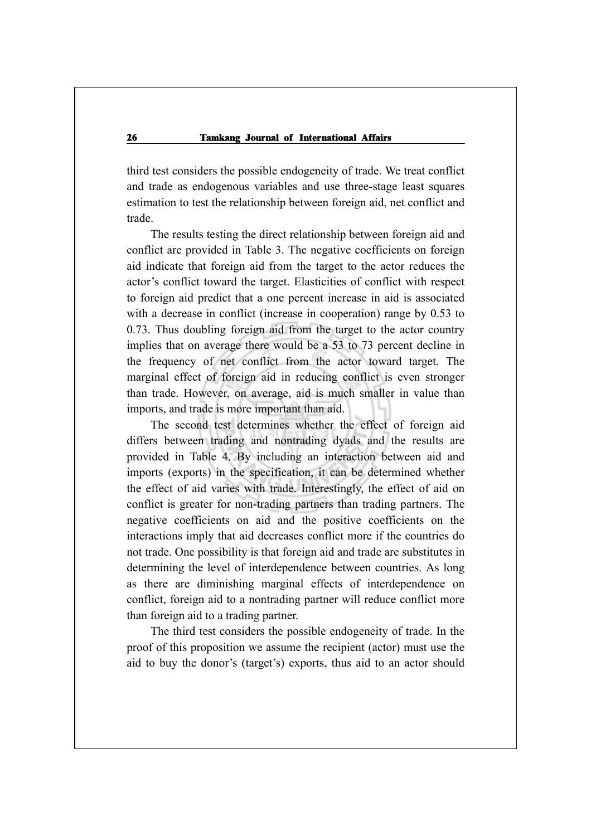third test considers the possible endogeneity of trade. We treat conflict and trade as endogenous variables and use three-stage least squares estimation to test the relationship between foreign aid, net conflict and trade.

The results testing the direct relationship between foreign aid and conflict are provided in Table 3. The negative coefficients on foreign aid indicate that foreign aid from the target to the actor reduces the actor's conflict toward the target. Elasticities of conflict with respect to foreign aid predict that a one percent increase in aid is associated with a decrease in conflict (increase in cooperation) range by 0.53 to 0.73. Thus doubling foreign aid from the target to the actor country implies that on average there would be a 53 to 73 percent decline in the frequency of net conflict from the actor toward target. The marginal effect of foreign aid in reducing conflict is even stronger than trade. However, on average, aid is much smaller in value than imports, and trade is more important than aid.

The second test determines whether the effect of foreign aid differs between trading and nontrading dyads and the results are provided in Table 4. By including an interaction between aid and imports (exports) in the specification, it can be determined whether the effect of aid varies with trade. Interestingly, the effect of aid on conflict is greater for non-trading partners than trading partners. The negative coefficients on aid and the positive coefficients on the interactions imply that aid decreases conflict more if the countries do not trade. One possibility is that foreign aid and trade are substitutes in determining the level of interdependence between countries. As long as there are diminishing marginal effects of interdependence on conflict, foreign aid to a nontrading partner will reduce conflict more than foreign aid to a trading partner.

The third test considers the possible endogeneity of trade. In the proof of this proposition we assume the recipient (actor) must use the aid to buy the donor's (target's) exports, thus aid to an actor should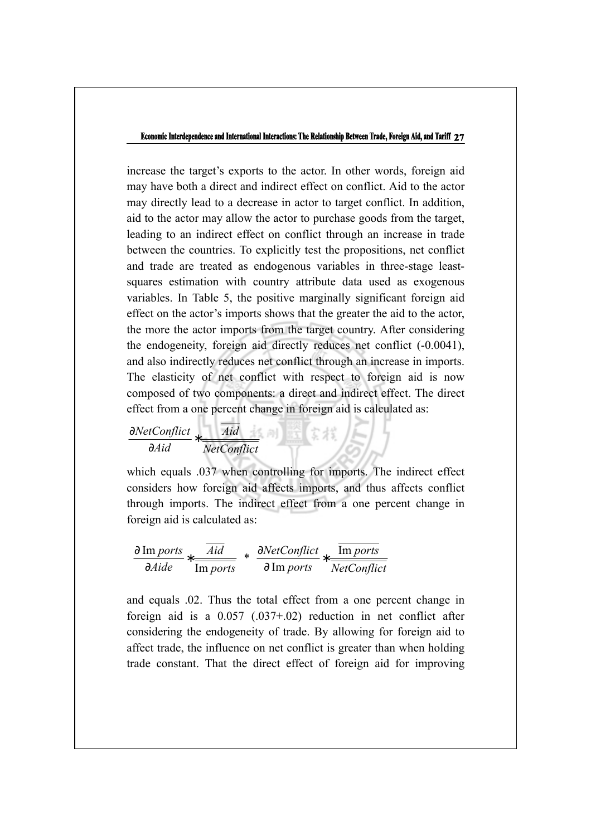increase the target's exports to the actor. In other words, foreign aid may have both a direct and indirect effect on conflict. Aid to the actor may directly lead to a decrease in actor to target conflict. In addition, aid to the actor may allow the actor to purchase goods from the target, leading to an indirect effect on conflict through an increase in trade between the countries. To explicitly test the propositions, net conflict and trade are treated as endogenous variables in three-stage leastsquares estimation with country attribute data used as exogenous variables. In Table 5, the positive marginally significant foreign aid effect on the actor's imports shows that the greater the aid to the actor, the more the actor imports from the target country. After considering the endogeneity, foreign aid directly reduces net conflict (-0.0041), and also indirectly reduces net conflict through an increase in imports. The elasticity of net conflict with respect to foreign aid is now composed of two components: a direct and indirect effect. The direct effect from a one percent change in foreign aid is calculated as:

$$
\frac{\partial NetConflict}{\partial A id} * \frac{\overline{Aid}}{\overline{NetConflict}}
$$

which equals .037 when controlling for imports. The indirect effect considers how foreign aid affects imports, and thus affects conflict through imports. The indirect effect from a one percent change in foreign aid is calculated as:

$$
\left[\frac{\partial \text{ Im }ports}{\partial Aide} * \frac{\overline{Aid}}{\overline{\text{Im }ports}}\right] * \left[\frac{\partial NetConflict}{\partial \text{ Im }ports} * \frac{\overline{\text{Im }ports}}{\overline{NetConflict}}\right]
$$

and equals .02. Thus the total effect from a one percent change in foreign aid is a 0.057 (.037+.02) reduction in net conflict after considering the endogeneity of trade. By allowing for foreign aid to affect trade, the influence on net conflict is greater than when holding trade constant. That the direct effect of foreign aid for improving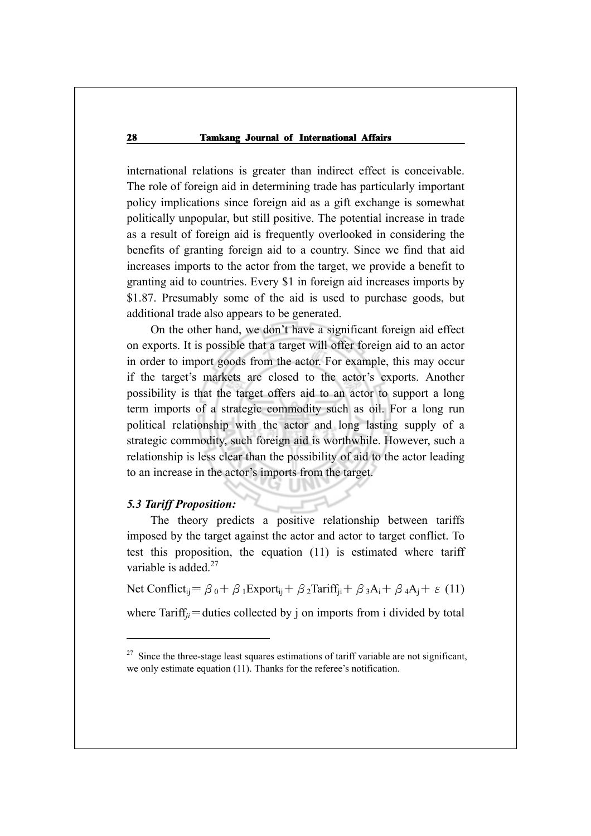international relations is greater than indirect effect is conceivable. The role of foreign aid in determining trade has particularly important policy implications since foreign aid as a gift exchange is somewhat politically unpopular, but still positive. The potential increase in trade as a result of foreign aid is frequently overlooked in considering the benefits of granting foreign aid to a country. Since we find that aid increases imports to the actor from the target, we provide a benefit to granting aid to countries. Every \$1 in foreign aid increases imports by \$1.87. Presumably some of the aid is used to purchase goods, but additional trade also appears to be generated.

On the other hand, we don't have a significant foreign aid effect on exports. It is possible that a target will offer foreign aid to an actor in order to import goods from the actor. For example, this may occur if the target's markets are closed to the actor's exports. Another possibility is that the target offers aid to an actor to support a long term imports of a strategic commodity such as oil. For a long run political relationship with the actor and long lasting supply of a strategic commodity, such foreign aid is worthwhile. However, such a relationship is less clear than the possibility of aid to the actor leading to an increase in the actor's imports from the target.

## *5.3 Tariff Proposition:*

 $\overline{a}$ 

The theory predicts a positive relationship between tariffs imposed by the target against the actor and actor to target conflict. To test this proposition, the equation (11) is estimated where tariff variable is added.<sup>27</sup>

Net Conflict<sub>ij</sub>= $\beta_0 + \beta_1$ Export<sub>ij</sub> +  $\beta_2$ Tariff<sub>ij</sub> +  $\beta_3A_i + \beta_4A_j + \varepsilon$  (11) where  $Tariff_{ii}$ =duties collected by j on imports from i divided by total

 $27$  Since the three-stage least squares estimations of tariff variable are not significant, we only estimate equation (11). Thanks for the referee's notification.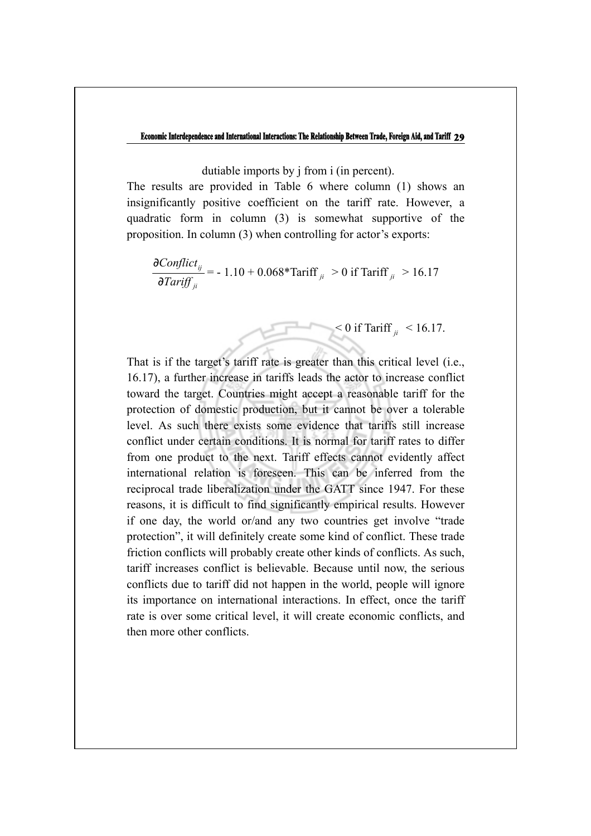dutiable imports by j from i (in percent).

The results are provided in Table 6 where column (1) shows an insignificantly positive coefficient on the tariff rate. However, a quadratic form in column (3) is somewhat supportive of the proposition. In column (3) when controlling for actor's exports:

$$
\frac{\partial \text{Conflict}_{ij}}{\partial \text{Tariff}_{ji}} = -1.10 + 0.068 \cdot \text{Tariff}_{ji} > 0 \text{ if Tariff}_{ji} > 16.17
$$

 $<$  0 if Tariff  $_{ii}$  < 16.17.

That is if the target's tariff rate is greater than this critical level (i.e., 16.17), a further increase in tariffs leads the actor to increase conflict toward the target. Countries might accept a reasonable tariff for the protection of domestic production, but it cannot be over a tolerable level. As such there exists some evidence that tariffs still increase conflict under certain conditions. It is normal for tariff rates to differ from one product to the next. Tariff effects cannot evidently affect international relation is foreseen. This can be inferred from the reciprocal trade liberalization under the GATT since 1947. For these reasons, it is difficult to find significantly empirical results. However if one day, the world or/and any two countries get involve "trade protection", it will definitely create some kind of conflict. These trade friction conflicts will probably create other kinds of conflicts. As such, tariff increases conflict is believable. Because until now, the serious conflicts due to tariff did not happen in the world, people will ignore its importance on international interactions. In effect, once the tariff rate is over some critical level, it will create economic conflicts, and then more other conflicts.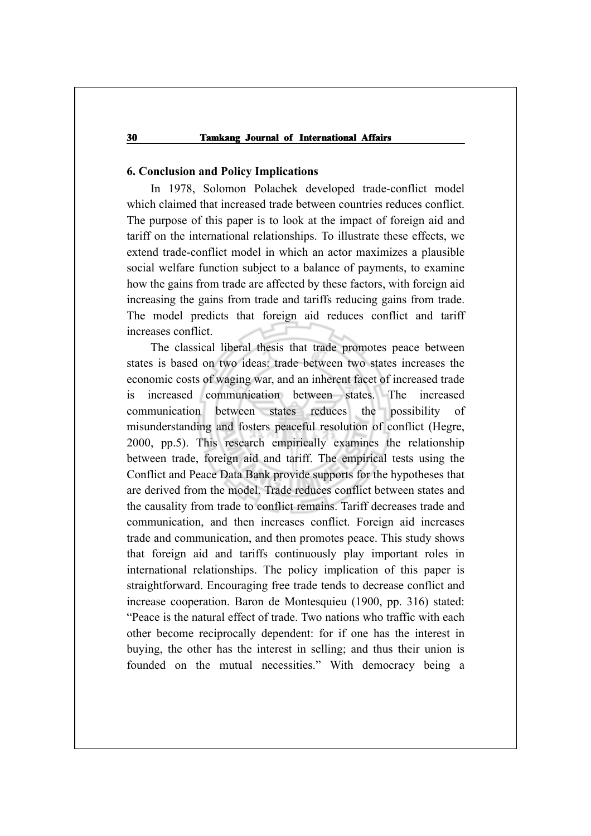#### **6. Conclusion and Policy Implications**

In 1978, Solomon Polachek developed trade-conflict model which claimed that increased trade between countries reduces conflict. The purpose of this paper is to look at the impact of foreign aid and tariff on the international relationships. To illustrate these effects, we extend trade-conflict model in which an actor maximizes a plausible social welfare function subject to a balance of payments, to examine how the gains from trade are affected by these factors, with foreign aid increasing the gains from trade and tariffs reducing gains from trade. The model predicts that foreign aid reduces conflict and tariff increases conflict.

The classical liberal thesis that trade promotes peace between states is based on two ideas: trade between two states increases the economic costs of waging war, and an inherent facet of increased trade is increased communication between states. The increased communication between states reduces the possibility of misunderstanding and fosters peaceful resolution of conflict (Hegre, 2000, pp.5). This research empirically examines the relationship between trade, foreign aid and tariff. The empirical tests using the Conflict and Peace Data Bank provide supports for the hypotheses that are derived from the model. Trade reduces conflict between states and the causality from trade to conflict remains. Tariff decreases trade and communication, and then increases conflict. Foreign aid increases trade and communication, and then promotes peace. This study shows that foreign aid and tariffs continuously play important roles in international relationships. The policy implication of this paper is straightforward. Encouraging free trade tends to decrease conflict and increase cooperation. Baron de Montesquieu (1900, pp. 316) stated: "Peace is the natural effect of trade. Two nations who traffic with each other become reciprocally dependent: for if one has the interest in buying, the other has the interest in selling; and thus their union is founded on the mutual necessities." With democracy being a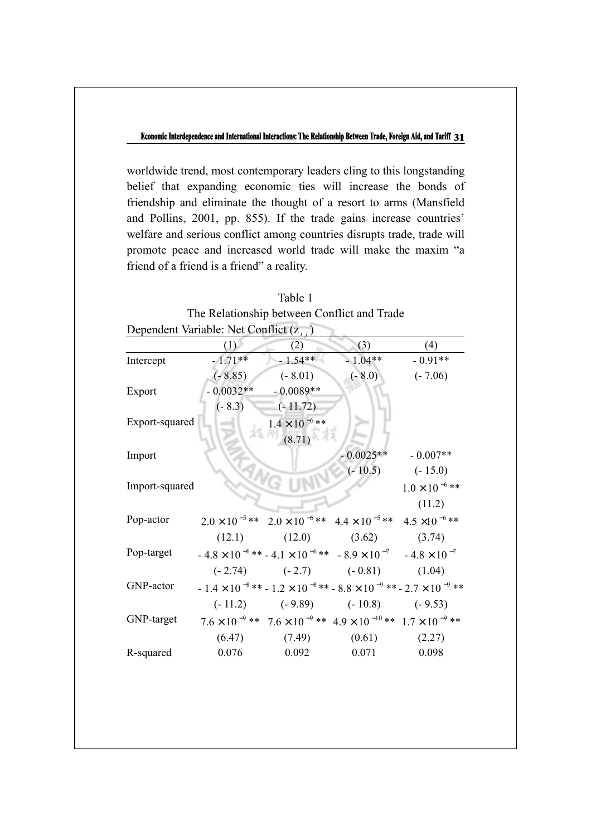worldwide trend, most contemporary leaders cling to this longstanding belief that expanding economic ties will increase the bonds of friendship and eliminate the thought of a resort to arms (Mansfield and Pollins, 2001, pp. 855). If the trade gains increase countries' welfare and serious conflict among countries disrupts trade, trade will promote peace and increased world trade will make the maxim "a friend of a friend is a friend" a reality.

| Dependent Variable: Net Conflict $(z_{i,j})$ |             |                                                                                                     |             |                         |  |  |
|----------------------------------------------|-------------|-----------------------------------------------------------------------------------------------------|-------------|-------------------------|--|--|
|                                              | (1)         | (2)                                                                                                 | (3)         | (4)                     |  |  |
| Intercept                                    | $-1.71**$   | $-1.54**$                                                                                           | $-1.04**$   | $-0.91**$               |  |  |
|                                              | $(-8.85)$   | $(-8.01)$                                                                                           | $(-8.0)$    | $(-7.06)$               |  |  |
| Export                                       | $-0.0032**$ | $-0.0089**$                                                                                         |             |                         |  |  |
|                                              | $(-8.3)$    | $(-11.72)$                                                                                          |             |                         |  |  |
| Export-squared                               |             | $1.4 \times 10^{-6}$ **                                                                             |             |                         |  |  |
|                                              |             | (8.71)                                                                                              |             |                         |  |  |
| Import                                       |             |                                                                                                     | $-0.0025**$ | $-0.007**$              |  |  |
|                                              |             |                                                                                                     | $(-10.5)$   | $(-15.0)$               |  |  |
| Import-squared                               |             |                                                                                                     |             | $1.0 \times 10^{-6}$ ** |  |  |
|                                              |             |                                                                                                     |             | (11.2)                  |  |  |
| Pop-actor                                    |             | $2.0 \times 10^{-5}$ ** $2.0 \times 10^{-6}$ ** $4.4 \times 10^{-5}$ ** $4.5 \times 10^{-6}$ **     |             |                         |  |  |
|                                              |             | $(12.1)$ $(12.0)$ $(3.62)$ $(3.74)$                                                                 |             |                         |  |  |
| Pop-target                                   |             | $-4.8 \times 10^{-6}$ ** $-4.1 \times 10^{-6}$ ** $-8.9 \times 10^{-7}$ $-4.8 \times 10^{-7}$       |             |                         |  |  |
|                                              |             | $(-2.74)$ $(-2.7)$ $(-0.81)$ $(1.04)$                                                               |             |                         |  |  |
| GNP-actor                                    |             | $-1.4 \times 10^{-8}$ ** $-1.2 \times 10^{-8}$ ** $-8.8 \times 10^{-9}$ ** $-2.7 \times 10^{-9}$ ** |             |                         |  |  |
|                                              |             | $(-11.2)$ $(-9.89)$ $(-10.8)$ $(-9.53)$                                                             |             |                         |  |  |
| GNP-target                                   |             | $7.6 \times 10^{-9}$ ** $7.6 \times 10^{-9}$ ** $4.9 \times 10^{-10}$ ** $1.7 \times 10^{-9}$ **    |             |                         |  |  |
|                                              |             | $(6.47)$ $(7.49)$ $(0.61)$                                                                          |             | (2.27)                  |  |  |
| R-squared                                    | 0.076       | 0.092                                                                                               | 0.071       | 0.098                   |  |  |

| Table 1                                     |  |
|---------------------------------------------|--|
| The Relationship between Conflict and Trade |  |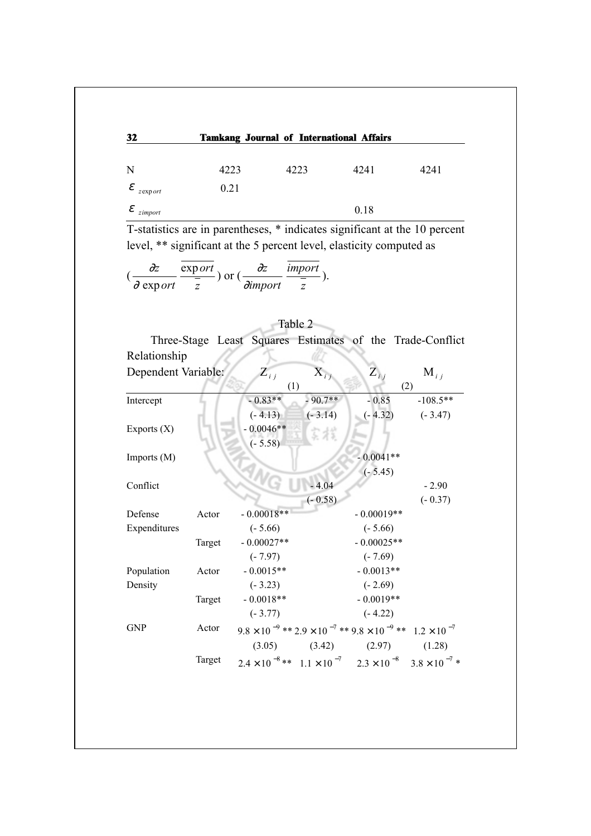| 32                              |      | <b>Tamkang Journal of International Affairs</b> |      |      |
|---------------------------------|------|-------------------------------------------------|------|------|
|                                 |      |                                                 |      |      |
| N                               | 4223 | 4223                                            | 4241 | 4241 |
| $\mathcal{E}_{z \text{export}}$ | 0.21 |                                                 |      |      |
| $\mathcal{E}_{zimport}$         |      |                                                 | 0.18 |      |

T-statistics are in parentheses, \* indicates significant at the 10 percent level, \*\* significant at the 5 percent level, elasticity computed as

$$
(\frac{\partial z}{\partial \text{ export}} \frac{\text{export}}{\frac{\overline{z}}{z}}) \text{ or } (\frac{\partial z}{\partial \text{import}} \frac{\text{import}}{\frac{\overline{z}}{z}}).
$$

| Table 2             |  |              |                    |                   |                                                                                              |  |
|---------------------|--|--------------|--------------------|-------------------|----------------------------------------------------------------------------------------------|--|
|                     |  |              |                    |                   | Three-Stage Least Squares Estimates of the Trade-Conflict                                    |  |
| Relationship        |  |              |                    |                   |                                                                                              |  |
| Dependent Variable: |  | $Z_{ij}$     | $\mathbf{X}_{i,j}$ | $\mathbf{Z}_{ij}$ | $M_{i,j}$                                                                                    |  |
|                     |  | (1)          |                    |                   | (2)                                                                                          |  |
| Intercept           |  | $-0.83**$    | $-90.7**$          | $-0.85$           | $-108.5**$                                                                                   |  |
|                     |  | $(-4.13)$    | $(-3.14)$          | $(-4.32)$         | $(-3.47)$                                                                                    |  |
| Exports $(X)$       |  | $-0.0046**$  | 宗だ                 |                   |                                                                                              |  |
|                     |  | $(-5.58)$    |                    |                   |                                                                                              |  |
| Imports (M)         |  |              |                    | $-0.0041**$       |                                                                                              |  |
|                     |  |              |                    | $(-5.45)$         |                                                                                              |  |
| Conflict            |  |              | $-4.04$            |                   | $-2.90$                                                                                      |  |
|                     |  |              | $(-0.58)$          |                   | $(-0.37)$                                                                                    |  |
| Defense<br>Actor    |  | $-0.00018**$ |                    | $-0.00019**$      |                                                                                              |  |
| Expenditures        |  | $(-5.66)$    |                    | $(-5.66)$         |                                                                                              |  |
| Target              |  | $-0.00027**$ |                    | $-0.00025**$      |                                                                                              |  |
|                     |  | $(-7.97)$    |                    | $(-7.69)$         |                                                                                              |  |
| Population<br>Actor |  | $-0.0015**$  |                    | $-0.0013**$       |                                                                                              |  |
| Density             |  | $(-3.23)$    |                    | $(-2.69)$         |                                                                                              |  |
| Target              |  | $-0.0018**$  |                    | $-0.0019**$       |                                                                                              |  |
|                     |  | $(-3.77)$    |                    | $(-4.22)$         |                                                                                              |  |
| Actor<br><b>GNP</b> |  |              |                    |                   | $9.8 \times 10^{-9}$ ** $2.9 \times 10^{-7}$ ** $9.8 \times 10^{-9}$ ** $1.2 \times 10^{-7}$ |  |
|                     |  | (3.05)       | (3.42)             | (2.97)            | (1.28)                                                                                       |  |
| Target              |  |              |                    |                   | $2.4 \times 10^{-8}$ ** $1.1 \times 10^{-7}$ $2.3 \times 10^{-8}$ $3.8 \times 10^{-7}$ *     |  |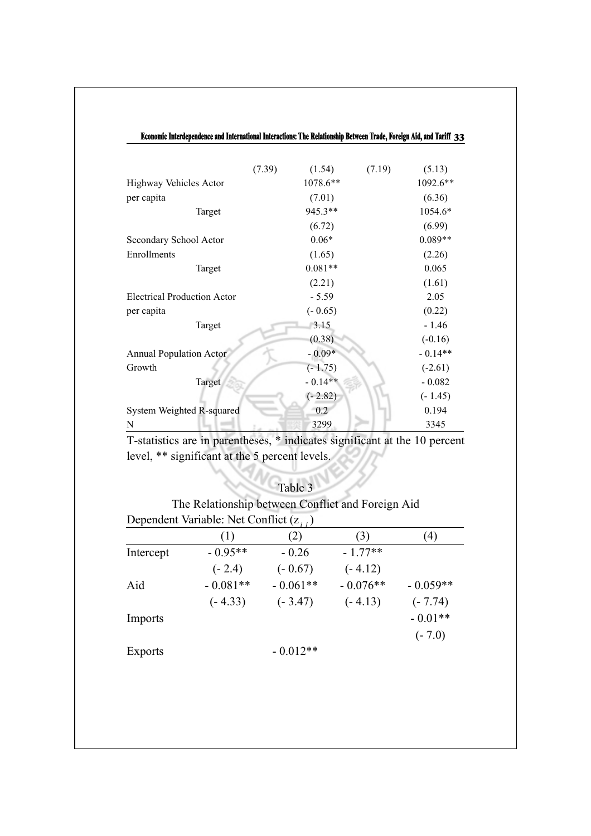| Economic Interdependence and International Interactions: The Relationship Between Trade, Foreign Aid, and Tariff 33 |        |           |        |           |
|---------------------------------------------------------------------------------------------------------------------|--------|-----------|--------|-----------|
|                                                                                                                     |        |           |        |           |
|                                                                                                                     | (7.39) | (1.54)    | (7.19) | (5.13)    |
| Highway Vehicles Actor                                                                                              |        | 1078.6**  |        | 1092.6**  |
| per capita                                                                                                          |        | (7.01)    |        | (6.36)    |
| Target                                                                                                              |        | 945.3**   |        | 1054.6*   |
|                                                                                                                     |        | (6.72)    |        | (6.99)    |
| Secondary School Actor                                                                                              |        | $0.06*$   |        | $0.089**$ |
| Enrollments                                                                                                         |        | (1.65)    |        | (2.26)    |
| Target                                                                                                              |        | $0.081**$ |        | 0.065     |
|                                                                                                                     |        | (2.21)    |        | (1.61)    |
| <b>Electrical Production Actor</b>                                                                                  |        | $-5.59$   |        | 2.05      |
| per capita                                                                                                          |        | $(-0.65)$ |        | (0.22)    |
| Target                                                                                                              |        | 3.15      |        | $-1.46$   |
|                                                                                                                     |        | (0.38)    |        | $(-0.16)$ |
| <b>Annual Population Actor</b>                                                                                      |        | $-0.09*$  |        | $-0.14**$ |
| Growth                                                                                                              |        | $(-1.75)$ |        | $(-2.61)$ |
| Target                                                                                                              |        | $-0.14**$ |        | $-0.082$  |
|                                                                                                                     |        | $(-2.82)$ |        | $(-1.45)$ |
| System Weighted R-squared                                                                                           |        | 0.2       |        | 0.194     |
| N                                                                                                                   |        | 3299      |        | 3345      |

T-statistics are in parentheses, \* indicates significant at the 10 percent level, \*\* significant at the 5 percent levels.

| Table 3 |  |
|---------|--|

The Relationship between Conflict and Foreign Aid Dependent Variable: Net Conflict (z *i*)

|                | (1)        | (2)        | (3)        | 4)         |
|----------------|------------|------------|------------|------------|
| Intercept      | $-0.95**$  | $-0.26$    | $-1.77**$  |            |
|                | $(-2.4)$   | $(-0.67)$  | $(-4.12)$  |            |
| Aid            | $-0.081**$ | $-0.061**$ | $-0.076**$ | $-0.059**$ |
|                | $(-4.33)$  | $(-3.47)$  | $(-4.13)$  | $(-7.74)$  |
| Imports        |            |            |            | $-0.01**$  |
|                |            |            |            | $(-7.0)$   |
| <b>Exports</b> |            | $-0.012**$ |            |            |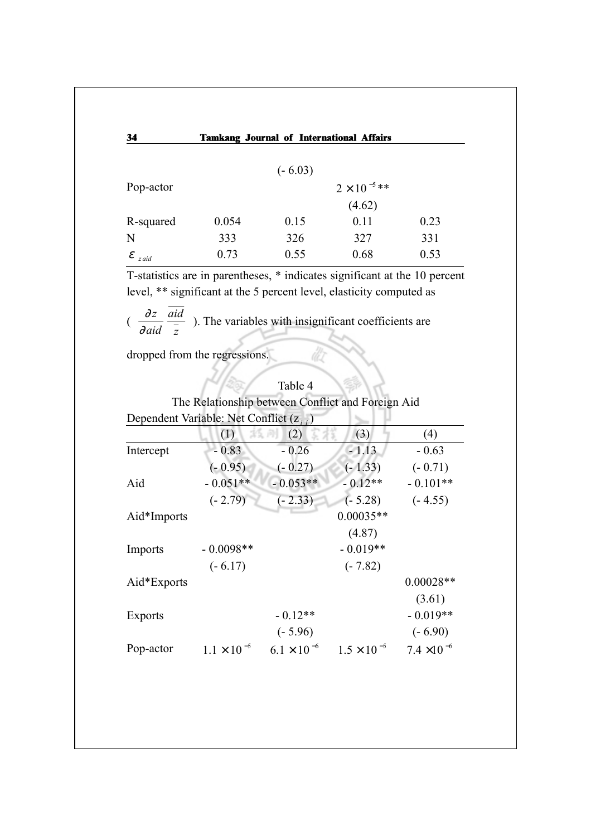| 34         |       |           | <b>Tamkang Journal of International Affairs</b> |      |
|------------|-------|-----------|-------------------------------------------------|------|
|            |       |           |                                                 |      |
|            |       | $(-6.03)$ |                                                 |      |
| Pop-actor  |       |           | $2 \times 10^{-5}$ **                           |      |
|            |       |           | (4.62)                                          |      |
| R-squared  | 0.054 | 0.15      | 0.11                                            | 0.23 |
| N          | 333   | 326       | 327                                             | 331  |
| ε<br>z aid | 0.73  | 0.55      | 0.68                                            | 0.53 |

T-statistics are in parentheses, \* indicates significant at the 10 percent level, \*\* significant at the 5 percent level, elasticity computed as

ilò

 $(\frac{\partial}{\partial a}$ *z aid aid z* ). The variables with insignificant coefficients are

dropped from the regressions.

|                                              |                      | Table 4              |                                                   |                      |
|----------------------------------------------|----------------------|----------------------|---------------------------------------------------|----------------------|
|                                              |                      |                      | The Relationship between Conflict and Foreign Aid |                      |
| Dependent Variable: Net Conflict $(z_{i,j})$ |                      |                      |                                                   |                      |
|                                              | (1)                  | (2)                  | (3)                                               | (4)                  |
| Intercept                                    | $-0.83$              | $-0.26$              | $-1.13$                                           | $-0.63$              |
|                                              | $(-0.95)$            | $(-0.27)$            | $(-1.33)$                                         | $(-0.71)$            |
| Aid                                          | $-0.051**$           | $-0.053**$           | $-0.12**$                                         | $-0.101**$           |
|                                              | $(-2.79)$            | $(-2.33)$            | $(-5.28)$                                         | $(-4.55)$            |
| Aid*Imports                                  |                      |                      | $0.00035**$                                       |                      |
|                                              |                      |                      | (4.87)                                            |                      |
| Imports                                      | $-0.0098**$          |                      | $-0.019**$                                        |                      |
|                                              | $(-6.17)$            |                      | $(-7.82)$                                         |                      |
| Aid*Exports                                  |                      |                      |                                                   | $0.00028**$          |
|                                              |                      |                      |                                                   | (3.61)               |
| Exports                                      |                      | $-0.12**$            |                                                   | $-0.019**$           |
|                                              |                      | $(-5.96)$            |                                                   | $(-6.90)$            |
| Pop-actor                                    | $1.1 \times 10^{-5}$ | $6.1 \times 10^{-6}$ | $1.5 \times 10^{-5}$                              | $7.4 \times 10^{-6}$ |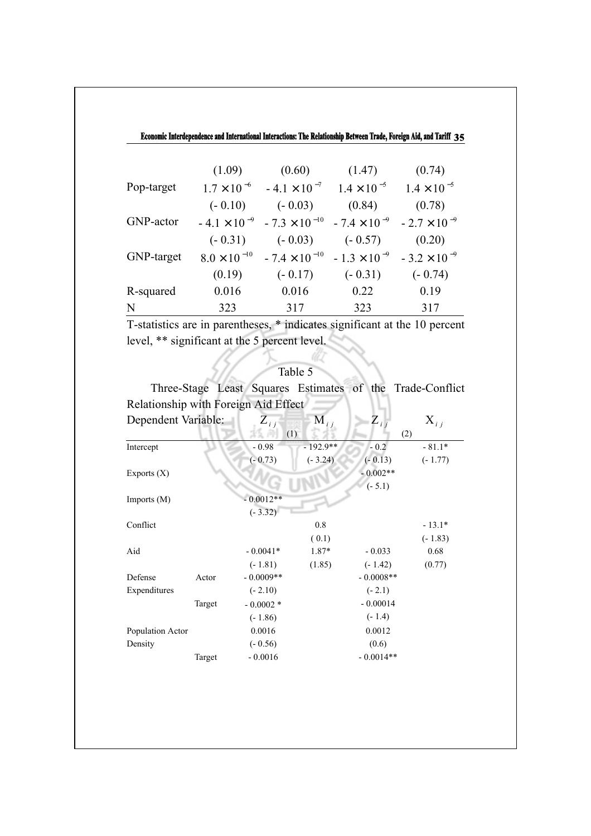| N          | 323                   | 317                    | 323                   | 317                   |
|------------|-----------------------|------------------------|-----------------------|-----------------------|
| R-squared  | 0.016                 | 0.016                  | 0.22                  | 0.19                  |
|            | (0.19)                | $(-0.17)$              | $(-0.31)$             | $(-0.74)$             |
| GNP-target | $8.0 \times 10^{-10}$ | $-7.4 \times 10^{-10}$ | $-1.3 \times 10^{-9}$ | $-3.2 \times 10^{-9}$ |
|            | $(-0.31)$             | $(-0.03)$              | $(-0.57)$             | (0.20)                |
| GNP-actor  | $-4.1 \times 10^{-9}$ | $-7.3 \times 10^{-10}$ | $-7.4 \times 10^{-9}$ | $-2.7 \times 10^{-9}$ |
|            | $(-0.10)$             | $(-0.03)$              | (0.84)                | (0.78)                |
| Pop-target | $1.7 \times 10^{-6}$  | $-4.1 \times 10^{-7}$  | $1.4 \times 10^{-5}$  | $1.4 \times 10^{-5}$  |
|            | (1.09)                | (0.60)                 | (1.47)                | (0.74)                |
|            |                       |                        |                       |                       |

T-statistics are in parentheses, \* indicates significant at the 10 percent level, \*\* significant at the 5 percent level.

## Table 5

iltz

Three-Stage Least Squares Estimates of the Trade-Conflict Relationship with Foreign Aid Effect

| Dependent Variable: |        | $\sum_{i,j}$ | $\overline{M}_{i,j}$ | $Z_{ij}$    | $X_{i,j}$ |
|---------------------|--------|--------------|----------------------|-------------|-----------|
|                     |        | (1)          |                      | (2)         |           |
| Intercept           |        | $-0.98$      | $-192.9**$           | $-0.2$      | $-81.1*$  |
|                     |        | $(-0.73)$    | $(-3.24)$            | $(-0.13)$   | $(-1.77)$ |
| Exports $(X)$       |        |              |                      | $-0.002**$  |           |
|                     |        |              |                      | $(-5.1)$    |           |
| Imports $(M)$       |        | $-0.0012**$  |                      |             |           |
|                     |        | $(-3.32)$    |                      |             |           |
| Conflict            |        |              | 0.8                  |             | $-13.1*$  |
|                     |        |              | (0.1)                |             | $(-1.83)$ |
| Aid                 |        | $-0.0041*$   | 1.87*                | $-0.033$    | 0.68      |
|                     |        | $(-1.81)$    | (1.85)               | $(-1.42)$   | (0.77)    |
| Defense             | Actor  | $-0.0009**$  |                      | $-0.0008**$ |           |
| Expenditures        |        | $(-2.10)$    |                      | $(-2.1)$    |           |
|                     | Target | $-0.0002*$   |                      | $-0.00014$  |           |
|                     |        | $(-1.86)$    |                      | $(-1.4)$    |           |
| Population Actor    |        | 0.0016       |                      | 0.0012      |           |
| Density             |        | $(-0.56)$    |                      | (0.6)       |           |
|                     | Target | $-0.0016$    |                      | $-0.0014**$ |           |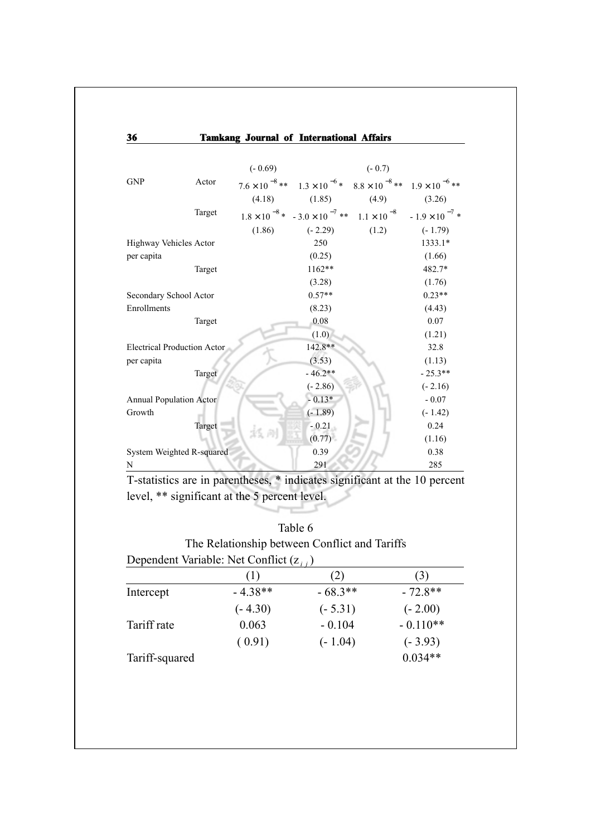| 36                                 |        |           | <b>Tamkang Journal of International Affairs</b>                                                |          |           |
|------------------------------------|--------|-----------|------------------------------------------------------------------------------------------------|----------|-----------|
|                                    |        | $(-0.69)$ |                                                                                                | $(-0.7)$ |           |
| <b>GNP</b>                         | Actor  |           | $7.6 \times 10^{-8}$ ** $1.3 \times 10^{-6}$ * $8.8 \times 10^{-8}$ ** $1.9 \times 10^{-6}$ ** |          |           |
|                                    |        | (4.18)    | (1.85)                                                                                         | (4.9)    | (3.26)    |
|                                    | Target |           | $1.8 \times 10^{-8}$ * $-3.0 \times 10^{-7}$ ** $1.1 \times 10^{-8}$ $-1.9 \times 10^{-7}$ *   |          |           |
|                                    |        | (1.86)    | $(-2.29)$                                                                                      | (1.2)    | $(-1.79)$ |
| Highway Vehicles Actor             |        |           | 250                                                                                            |          | 1333.1*   |
| per capita                         |        |           | (0.25)                                                                                         |          | (1.66)    |
|                                    | Target |           | $1162**$                                                                                       |          | 482.7*    |
|                                    |        |           | (3.28)                                                                                         |          | (1.76)    |
| Secondary School Actor             |        |           | $0.57**$                                                                                       |          | $0.23**$  |
| Enrollments                        |        |           | (8.23)                                                                                         |          | (4.43)    |
|                                    | Target |           | 0.08                                                                                           |          | 0.07      |
|                                    |        |           | (1.0)                                                                                          |          | (1.21)    |
| <b>Electrical Production Actor</b> |        |           | 142.8**                                                                                        |          | 32.8      |
| per capita                         |        |           | (3.53)                                                                                         |          | (1.13)    |
|                                    | Target |           | $-46.2**$                                                                                      |          | $-25.3**$ |
|                                    |        |           | $(-2.86)$                                                                                      |          | $(-2.16)$ |
| <b>Annual Population Actor</b>     |        |           | $-0.13*$                                                                                       |          | $-0.07$   |
| Growth                             |        |           | $(-1.89)$                                                                                      |          | $(-1.42)$ |
|                                    | Target |           | $-0.21$                                                                                        |          | 0.24      |
|                                    |        |           | (0.77)                                                                                         |          | (1.16)    |
| System Weighted R-squared          |        |           | 0.39                                                                                           |          | 0.38      |
| N                                  |        |           | 291                                                                                            |          | 285       |

T-statistics are in parentheses, \* indicates significant at the 10 percent level, \*\* significant at the 5 percent level.

## Table 6

| The Relationship between Conflict and Tariffs |  |
|-----------------------------------------------|--|
| Dependent Variable: Net Conflict $(z_{i,j})$  |  |

|                | (1)       | $\mathbf{2}$ | 3)         |
|----------------|-----------|--------------|------------|
| Intercept      | $-4.38**$ | $-68.3**$    | $-72.8**$  |
|                | $(-4.30)$ | $(-5.31)$    | $(-2.00)$  |
| Tariff rate    | 0.063     | $-0.104$     | $-0.110**$ |
|                | (0.91)    | $(-1.04)$    | $(-3.93)$  |
| Tariff-squared |           |              | $0.034**$  |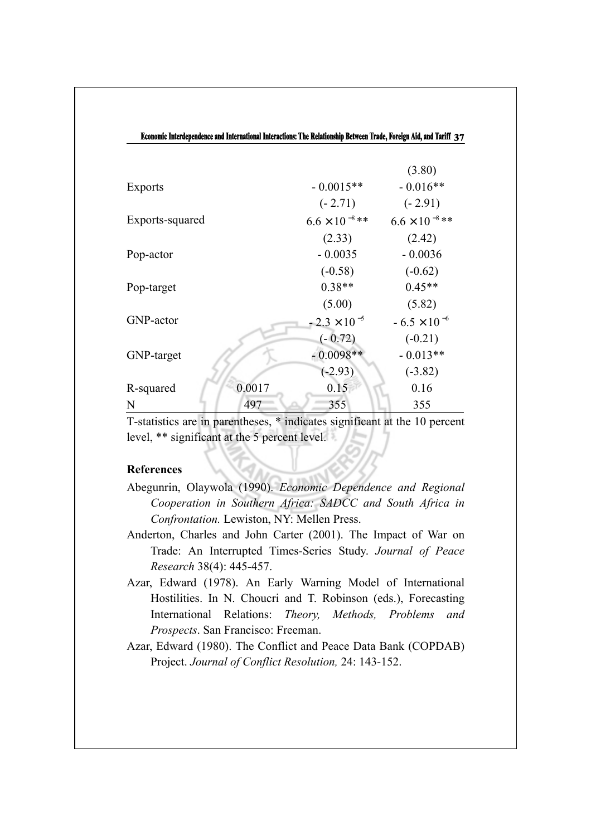| Economic Interdependence and International Interactions: The Relationship Between Trade, Foreign Aid, and Tariff 37 |        |                         |                         |  |  |
|---------------------------------------------------------------------------------------------------------------------|--------|-------------------------|-------------------------|--|--|
|                                                                                                                     |        |                         |                         |  |  |
|                                                                                                                     |        |                         | (3.80)                  |  |  |
| <b>Exports</b>                                                                                                      |        | $-0.0015**$             | $-0.016**$              |  |  |
|                                                                                                                     |        | $(-2.71)$               | $(-2.91)$               |  |  |
| Exports-squared                                                                                                     |        | $6.6 \times 10^{-8}$ ** | $6.6 \times 10^{-8}$ ** |  |  |
|                                                                                                                     |        | (2.33)                  | (2.42)                  |  |  |
| Pop-actor                                                                                                           |        | $-0.0035$               | $-0.0036$               |  |  |
|                                                                                                                     |        | $(-0.58)$               | $(-0.62)$               |  |  |
| Pop-target                                                                                                          |        | $0.38**$                | $0.45**$                |  |  |
|                                                                                                                     |        | (5.00)                  | (5.82)                  |  |  |
| GNP-actor                                                                                                           |        | $-2.3 \times 10^{-5}$   | $-6.5 \times 10^{-6}$   |  |  |
|                                                                                                                     |        | $(-0.72)$               | $(-0.21)$               |  |  |
| GNP-target                                                                                                          |        | $-0.0098**$             | $-0.013**$              |  |  |
|                                                                                                                     |        | $(-2.93)$               | $(-3.82)$               |  |  |
| R-squared                                                                                                           | 0.0017 | 0.15                    | 0.16                    |  |  |
| N                                                                                                                   | 497    | 355                     | 355                     |  |  |

T-statistics are in parentheses, \* indicates significant at the 10 percent level, \*\* significant at the 5 percent level.

## **References**

- Abegunrin, Olaywola (1990). *Economic Dependence and Regional Cooperation in Southern Africa: SADCC and South Africa in Confrontation.* Lewiston, NY: Mellen Press.
- Anderton, Charles and John Carter (2001). The Impact of War on Trade: An Interrupted Times-Series Study. *Journal of Peace Research* 38(4): 445-457.
- Azar, Edward (1978). An Early Warning Model of International Hostilities. In N. Choucri and T. Robinson (eds.), Forecasting International Relations: *Theory, Methods, Problems and Prospects*. San Francisco: Freeman.
- Azar, Edward (1980). The Conflict and Peace Data Bank (COPDAB) Project. *Journal of Conflict Resolution,* 24: 143-152.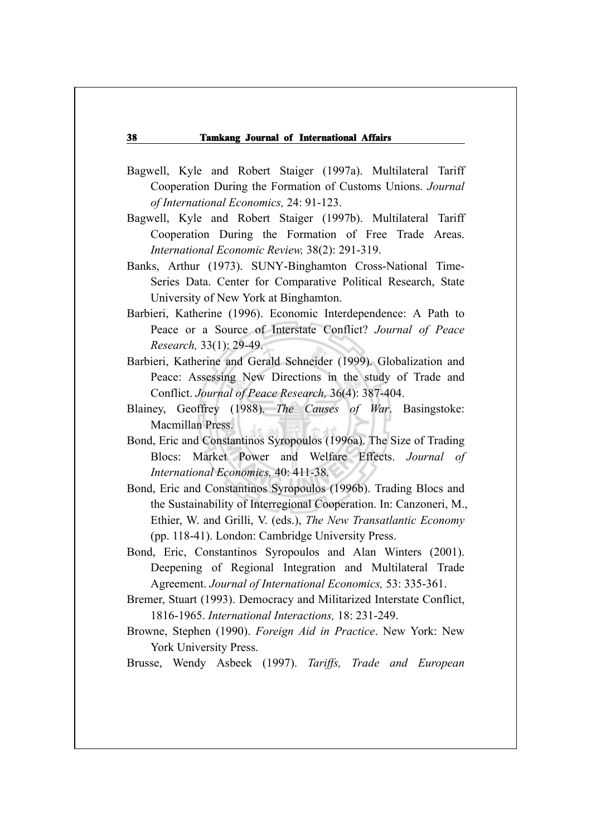- Bagwell, Kyle and Robert Staiger (1997a). Multilateral Tariff Cooperation During the Formation of Customs Unions. *Journal of International Economics,* 24: 91-123.
- Bagwell, Kyle and Robert Staiger (1997b). Multilateral Tariff Cooperation During the Formation of Free Trade Areas. *International Economic Review,* 38(2): 291-319.
- Banks, Arthur (1973). SUNY-Binghamton Cross-National Time-Series Data. Center for Comparative Political Research, State University of New York at Binghamton.
- Barbieri, Katherine (1996). Economic Interdependence: A Path to Peace or a Source of Interstate Conflict? *Journal of Peace Research,* 33(1): 29-49.
- Barbieri, Katherine and Gerald Schneider (1999). Globalization and Peace: Assessing New Directions in the study of Trade and Conflict. *Journal of Peace Research,* 36(4): 387-404.
- Blainey, Geoffrey (1988). *The Causes of War*. Basingstoke: Macmillan Press.
- Bond, Eric and Constantinos Syropoulos (1996a). The Size of Trading Blocs: Market Power and Welfare Effects. *Journal of International Economics,* 40: 411-38.
- Bond, Eric and Constantinos Syropoulos (1996b). Trading Blocs and the Sustainability of Interregional Cooperation. In: Canzoneri, M., Ethier, W. and Grilli, V. (eds.), *The New Transatlantic Economy* (pp. 118-41). London: Cambridge University Press.
- Bond, Eric, Constantinos Syropoulos and Alan Winters (2001). Deepening of Regional Integration and Multilateral Trade Agreement. *Journal of International Economics,* 53: 335-361.
- Bremer, Stuart (1993). Democracy and Militarized Interstate Conflict, 1816-1965. *International Interactions,* 18: 231-249.
- Browne, Stephen (1990). *Foreign Aid in Practice*. New York: New York University Press.

Brusse, Wendy Asbeek (1997). *Tariffs, Trade and European*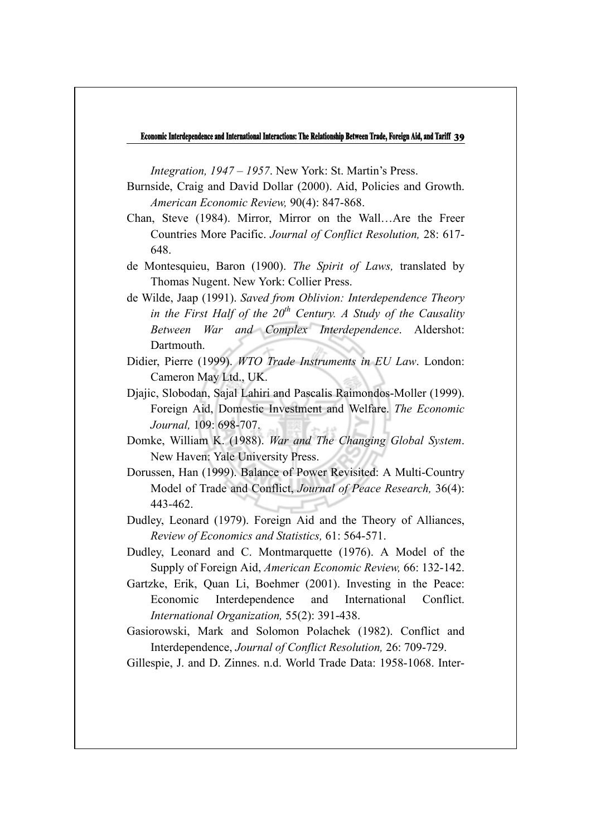*Integration, 1947 – 1957*. New York: St. Martin's Press.

- Burnside, Craig and David Dollar (2000). Aid, Policies and Growth. *American Economic Review,* 90(4): 847-868.
- Chan, Steve (1984). Mirror, Mirror on the Wall…Are the Freer Countries More Pacific. *Journal of Conflict Resolution,* 28: 617- 648.
- de Montesquieu, Baron (1900). *The Spirit of Laws,* translated by Thomas Nugent. New York: Collier Press.
- de Wilde, Jaap (1991). *Saved from Oblivion: Interdependence Theory in the First Half of the*  $20<sup>th</sup>$  *Century. A Study of the Causality Between War and Complex Interdependence*. Aldershot: Dartmouth.
- Didier, Pierre (1999). *WTO Trade Instruments in EU Law*. London: Cameron May Ltd., UK.
- Djajic, Slobodan, Sajal Lahiri and Pascalis Raimondos-Moller (1999). Foreign Aid, Domestic Investment and Welfare. *The Economic Journal,* 109: 698-707.
- Domke, William K. (1988). *War and The Changing Global System*. New Haven: Yale University Press.
- Dorussen, Han (1999). Balance of Power Revisited: A Multi-Country Model of Trade and Conflict, *Journal of Peace Research,* 36(4): 443-462.
- Dudley, Leonard (1979). Foreign Aid and the Theory of Alliances, *Review of Economics and Statistics,* 61: 564-571.
- Dudley, Leonard and C. Montmarquette (1976). A Model of the Supply of Foreign Aid, *American Economic Review,* 66: 132-142.
- Gartzke, Erik, Quan Li, Boehmer (2001). Investing in the Peace: Economic Interdependence and International Conflict. *International Organization,* 55(2): 391-438.
- Gasiorowski, Mark and Solomon Polachek (1982). Conflict and Interdependence, *Journal of Conflict Resolution,* 26: 709-729.

Gillespie, J. and D. Zinnes. n.d. World Trade Data: 1958-1068. Inter-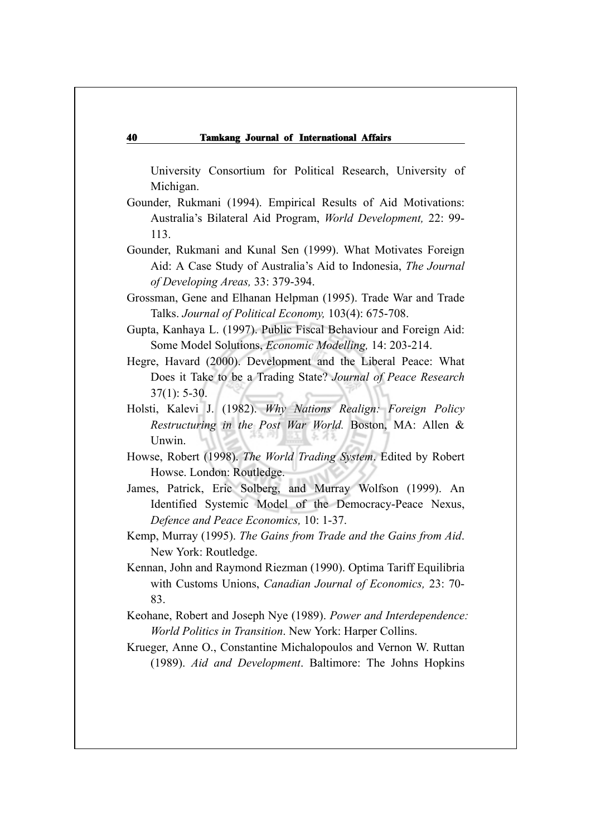University Consortium for Political Research, University of Michigan.

- Gounder, Rukmani (1994). Empirical Results of Aid Motivations: Australia's Bilateral Aid Program, *World Development,* 22: 99- 113.
- Gounder, Rukmani and Kunal Sen (1999). What Motivates Foreign Aid: A Case Study of Australia's Aid to Indonesia, *The Journal of Developing Areas,* 33: 379-394.
- Grossman, Gene and Elhanan Helpman (1995). Trade War and Trade Talks. *Journal of Political Economy,* 103(4): 675-708.
- Gupta, Kanhaya L. (1997). Public Fiscal Behaviour and Foreign Aid: Some Model Solutions, *Economic Modelling,* 14: 203-214.

Hegre, Havard (2000). Development and the Liberal Peace: What Does it Take to be a Trading State? *Journal of Peace Research* 37(1): 5-30.

- Holsti, Kalevi J. (1982). *Why Nations Realign: Foreign Policy Restructuring in the Post War World.* Boston, MA: Allen & Unwin.
- Howse, Robert (1998). *The World Trading System*. Edited by Robert Howse. London: Routledge.
- James, Patrick, Eric Solberg, and Murray Wolfson (1999). An Identified Systemic Model of the Democracy-Peace Nexus, *Defence and Peace Economics,* 10: 1-37.
- Kemp, Murray (1995). *The Gains from Trade and the Gains from Aid*. New York: Routledge.
- Kennan, John and Raymond Riezman (1990). Optima Tariff Equilibria with Customs Unions, *Canadian Journal of Economics,* 23: 70- 83.
- Keohane, Robert and Joseph Nye (1989). *Power and Interdependence: World Politics in Transition*. New York: Harper Collins.
- Krueger, Anne O., Constantine Michalopoulos and Vernon W. Ruttan (1989). *Aid and Development*. Baltimore: The Johns Hopkins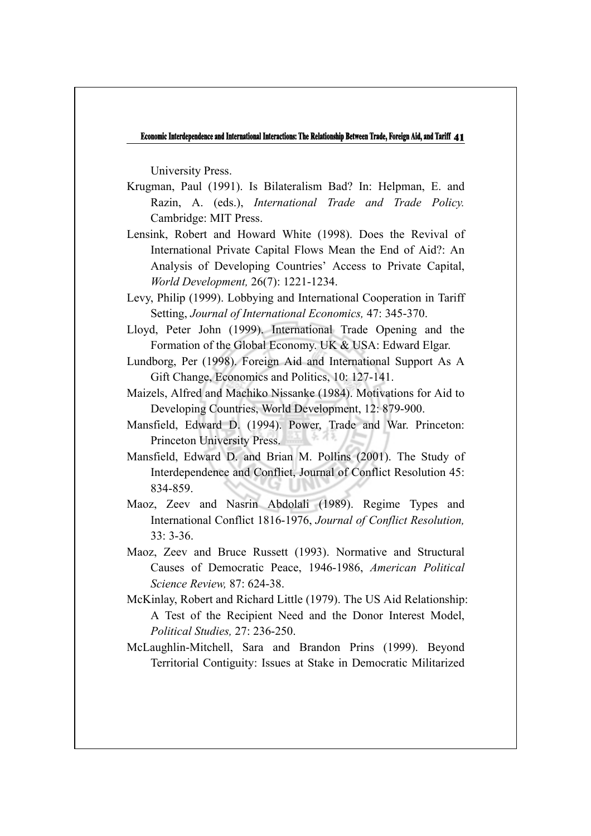University Press.

- Krugman, Paul (1991). Is Bilateralism Bad? In: Helpman, E. and Razin, A. (eds.), *International Trade and Trade Policy.* Cambridge: MIT Press.
- Lensink, Robert and Howard White (1998). Does the Revival of International Private Capital Flows Mean the End of Aid?: An Analysis of Developing Countries' Access to Private Capital, *World Development,* 26(7): 1221-1234.
- Levy, Philip (1999). Lobbying and International Cooperation in Tariff Setting, *Journal of International Economics,* 47: 345-370.
- Lloyd, Peter John (1999). International Trade Opening and the Formation of the Global Economy. UK & USA: Edward Elgar.
- Lundborg, Per (1998). Foreign Aid and International Support As A Gift Change, Economics and Politics, 10: 127-141.
- Maizels, Alfred and Machiko Nissanke (1984). Motivations for Aid to Developing Countries, World Development, 12: 879-900.
- Mansfield, Edward D. (1994). Power, Trade and War. Princeton: Princeton University Press.
- Mansfield, Edward D. and Brian M. Pollins (2001). The Study of Interdependence and Conflict, Journal of Conflict Resolution 45: 834-859.
- Maoz, Zeev and Nasrin Abdolali (1989). Regime Types and International Conflict 1816-1976, *Journal of Conflict Resolution,* 33: 3-36.
- Maoz, Zeev and Bruce Russett (1993). Normative and Structural Causes of Democratic Peace, 1946-1986, *American Political Science Review,* 87: 624-38.
- McKinlay, Robert and Richard Little (1979). The US Aid Relationship: A Test of the Recipient Need and the Donor Interest Model, *Political Studies,* 27: 236-250.
- McLaughlin-Mitchell, Sara and Brandon Prins (1999). Beyond Territorial Contiguity: Issues at Stake in Democratic Militarized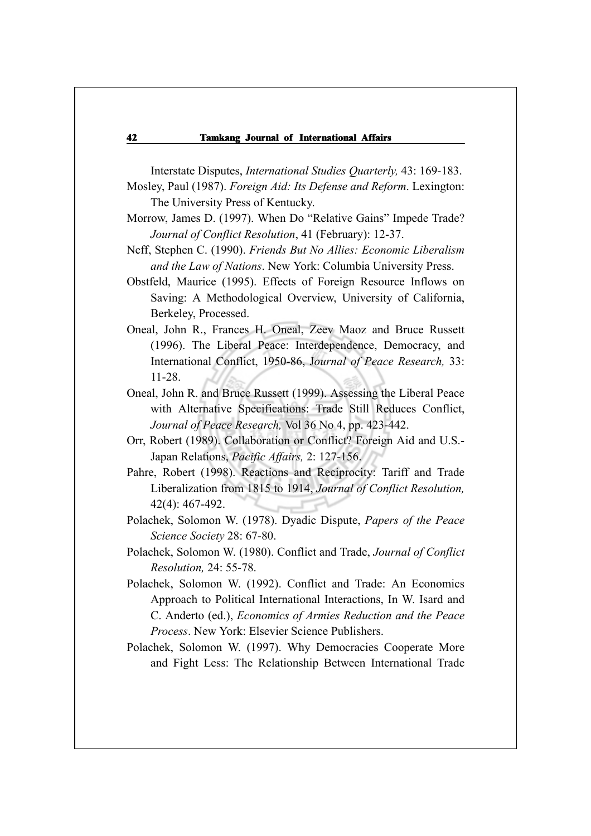Interstate Disputes, *International Studies Quarterly,* 43: 169-183.

- Mosley, Paul (1987). *Foreign Aid: Its Defense and Reform*. Lexington: The University Press of Kentucky.
- Morrow, James D. (1997). When Do "Relative Gains" Impede Trade? *Journal of Conflict Resolution*, 41 (February): 12-37.
- Neff, Stephen C. (1990). *Friends But No Allies: Economic Liberalism and the Law of Nations*. New York: Columbia University Press.
- Obstfeld, Maurice (1995). Effects of Foreign Resource Inflows on Saving: A Methodological Overview, University of California, Berkeley, Processed.
- Oneal, John R., Frances H. Oneal, Zeev Maoz and Bruce Russett (1996). The Liberal Peace: Interdependence, Democracy, and International Conflict, 1950-86, J*ournal of Peace Research,* 33: 11-28.
- Oneal, John R. and Bruce Russett (1999). Assessing the Liberal Peace with Alternative Specifications: Trade Still Reduces Conflict, *Journal of Peace Research,* Vol 36 No 4, pp. 423-442.
- Orr, Robert (1989). Collaboration or Conflict? Foreign Aid and U.S.- Japan Relations, *Pacific Affairs,* 2: 127-156.
- Pahre, Robert (1998). Reactions and Reciprocity: Tariff and Trade Liberalization from 1815 to 1914, *Journal of Conflict Resolution,* 42(4): 467-492.
- Polachek, Solomon W. (1978). Dyadic Dispute, *Papers of the Peace Science Society* 28: 67-80.
- Polachek, Solomon W. (1980). Conflict and Trade, *Journal of Conflict Resolution,* 24: 55-78.
- Polachek, Solomon W. (1992). Conflict and Trade: An Economics Approach to Political International Interactions, In W. Isard and C. Anderto (ed.), *Economics of Armies Reduction and the Peace Process*. New York: Elsevier Science Publishers.
- Polachek, Solomon W. (1997). Why Democracies Cooperate More and Fight Less: The Relationship Between International Trade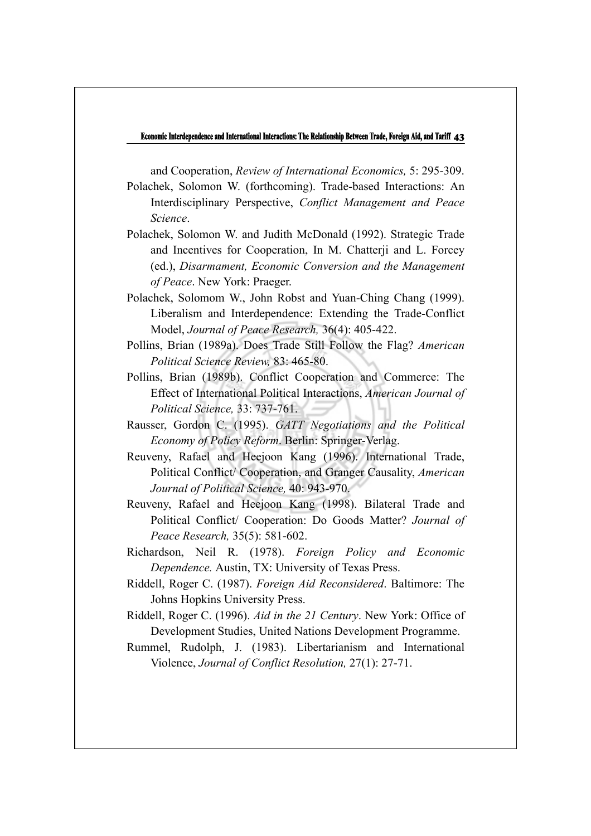and Cooperation, *Review of International Economics,* 5: 295-309.

Polachek, Solomon W. (forthcoming). Trade-based Interactions: An Interdisciplinary Perspective, *Conflict Management and Peace Science*.

- Polachek, Solomon W. and Judith McDonald (1992). Strategic Trade and Incentives for Cooperation, In M. Chatterji and L. Forcey (ed.), *Disarmament, Economic Conversion and the Management of Peace*. New York: Praeger.
- Polachek, Solomom W., John Robst and Yuan-Ching Chang (1999). Liberalism and Interdependence: Extending the Trade-Conflict Model, *Journal of Peace Research,* 36(4): 405-422.
- Pollins, Brian (1989a). Does Trade Still Follow the Flag? *American Political Science Review,* 83: 465-80.
- Pollins, Brian (1989b). Conflict Cooperation and Commerce: The Effect of International Political Interactions, *American Journal of Political Science,* 33: 737-761.
- Rausser, Gordon C. (1995). *GATT Negotiations and the Political Economy of Policy Reform*. Berlin: Springer-Verlag.
- Reuveny, Rafael and Heejoon Kang (1996). International Trade, Political Conflict/ Cooperation, and Granger Causality, *American Journal of Political Science,* 40: 943-970.
- Reuveny, Rafael and Heejoon Kang (1998). Bilateral Trade and Political Conflict/ Cooperation: Do Goods Matter? *Journal of Peace Research,* 35(5): 581-602.
- Richardson, Neil R. (1978). *Foreign Policy and Economic Dependence.* Austin, TX: University of Texas Press.
- Riddell, Roger C. (1987). *Foreign Aid Reconsidered*. Baltimore: The Johns Hopkins University Press.
- Riddell, Roger C. (1996). *Aid in the 21 Century*. New York: Office of Development Studies, United Nations Development Programme.
- Rummel, Rudolph, J. (1983). Libertarianism and International Violence, *Journal of Conflict Resolution,* 27(1): 27-71.